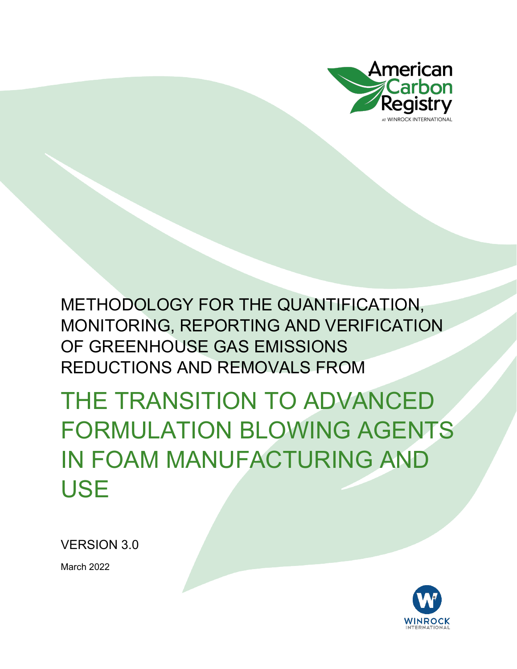

THE TRANSITION TO ADVANCED FORMULATION BLOWING AGENTS IN FOAM MANUFACTURING AND USE

VERSION 3.0

March 2022

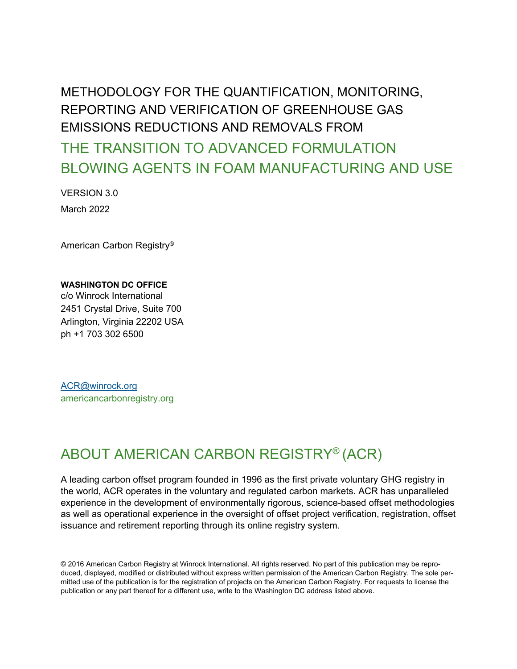THE TRANSITION TO ADVANCED FORMULATION BLOWING AGENTS IN FOAM MANUFACTURING AND USE

VERSION 3.0 March 2022

American Carbon Registry®

#### **WASHINGTON DC OFFICE**

c/o Winrock International 2451 Crystal Drive, Suite 700 Arlington, Virginia 22202 USA ph +1 703 302 6500

[ACR@winrock.org](mailto:ACR@winrock.org) [americancarbonregistry.org](http://americancarbonregistry.org/)

### ABOUT AMERICAN CARBON REGISTRY® (ACR)

A leading carbon offset program founded in 1996 as the first private voluntary GHG registry in the world, ACR operates in the voluntary and regulated carbon markets. ACR has unparalleled experience in the development of environmentally rigorous, science-based offset methodologies as well as operational experience in the oversight of offset project verification, registration, offset issuance and retirement reporting through its online registry system.

© 2016 American Carbon Registry at Winrock International. All rights reserved. No part of this publication may be reproduced, displayed, modified or distributed without express written permission of the American Carbon Registry. The sole permitted use of the publication is for the registration of projects on the American Carbon Registry. For requests to license the publication or any part thereof for a different use, write to the Washington DC address listed above.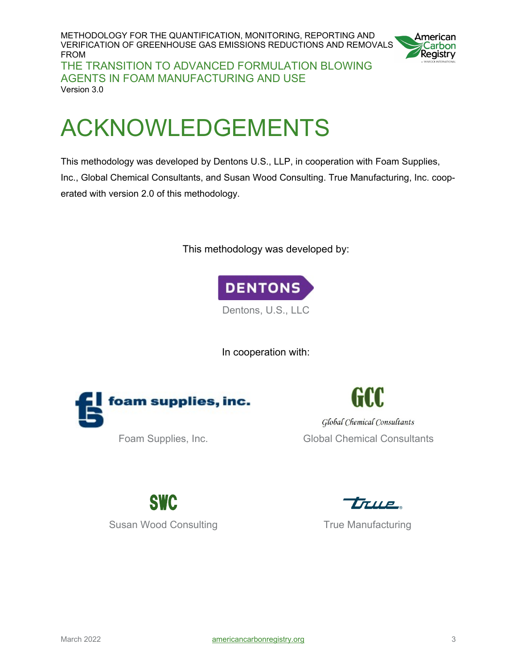METHODOLOGY FOR THE QUANTIFICATION, MONITORING, REPORTING AND VERIFICATION OF GREENHOUSE GAS EMISSIONS REDUCTIONS AND REMOVALS FROM THE TRANSITION TO ADVANCED FORMULATION BLOWING AGENTS IN FOAM MANUFACTURING AND USE Version 3.0



# <span id="page-2-0"></span>ACKNOWLEDGEMENTS

This methodology was developed by Dentons U.S., LLP, in cooperation with Foam Supplies, Inc., Global Chemical Consultants, and Susan Wood Consulting. True Manufacturing, Inc. cooperated with version 2.0 of this methodology.

This methodology was developed by:



In cooperation with:



Global Chemical Consultants Foam Supplies, Inc. **Global Chemical Consultants** 

SWC Susan Wood Consulting True Manufacturing

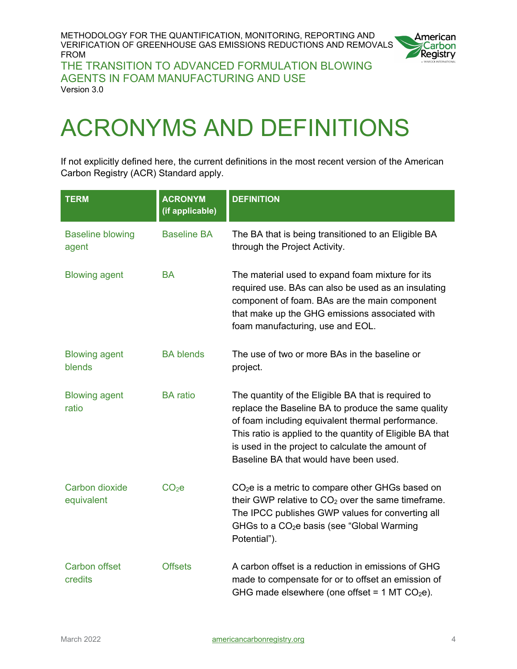

THE TRANSITION TO ADVANCED FORMULATION BLOWING AGENTS IN FOAM MANUFACTURING AND USE Version 3.0

# <span id="page-3-0"></span>ACRONYMS AND DEFINITIONS

If not explicitly defined here, the current definitions in the most recent version of the American Carbon Registry (ACR) Standard apply.

| <b>TERM</b>                      | <b>ACRONYM</b><br>(if applicable) | <b>DEFINITION</b>                                                                                                                                                                                                                                                                                                           |
|----------------------------------|-----------------------------------|-----------------------------------------------------------------------------------------------------------------------------------------------------------------------------------------------------------------------------------------------------------------------------------------------------------------------------|
| <b>Baseline blowing</b><br>agent | <b>Baseline BA</b>                | The BA that is being transitioned to an Eligible BA<br>through the Project Activity.                                                                                                                                                                                                                                        |
| <b>Blowing agent</b>             | <b>BA</b>                         | The material used to expand foam mixture for its<br>required use. BAs can also be used as an insulating<br>component of foam. BAs are the main component<br>that make up the GHG emissions associated with<br>foam manufacturing, use and EOL.                                                                              |
| <b>Blowing agent</b><br>blends   | <b>BA blends</b>                  | The use of two or more BAs in the baseline or<br>project.                                                                                                                                                                                                                                                                   |
| <b>Blowing agent</b><br>ratio    | <b>BA</b> ratio                   | The quantity of the Eligible BA that is required to<br>replace the Baseline BA to produce the same quality<br>of foam including equivalent thermal performance.<br>This ratio is applied to the quantity of Eligible BA that<br>is used in the project to calculate the amount of<br>Baseline BA that would have been used. |
| Carbon dioxide<br>equivalent     | CO <sub>2</sub> e                 | $CO2e$ is a metric to compare other GHGs based on<br>their GWP relative to $CO2$ over the same timeframe.<br>The IPCC publishes GWP values for converting all<br>GHGs to a $CO2e$ basis (see "Global Warming<br>Potential").                                                                                                |
| <b>Carbon offset</b><br>credits  | <b>Offsets</b>                    | A carbon offset is a reduction in emissions of GHG<br>made to compensate for or to offset an emission of<br>GHG made elsewhere (one offset = $1$ MT CO <sub>2</sub> e).                                                                                                                                                     |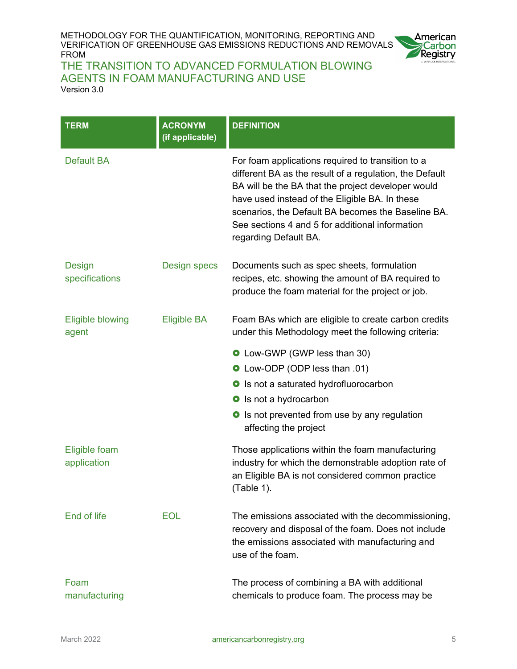

| <b>TERM</b>                      | <b>ACRONYM</b><br>(if applicable) | <b>DEFINITION</b>                                                                                                                                                                                                                                                                                                                                      |
|----------------------------------|-----------------------------------|--------------------------------------------------------------------------------------------------------------------------------------------------------------------------------------------------------------------------------------------------------------------------------------------------------------------------------------------------------|
| <b>Default BA</b>                |                                   | For foam applications required to transition to a<br>different BA as the result of a regulation, the Default<br>BA will be the BA that the project developer would<br>have used instead of the Eligible BA. In these<br>scenarios, the Default BA becomes the Baseline BA.<br>See sections 4 and 5 for additional information<br>regarding Default BA. |
| <b>Design</b><br>specifications  | <b>Design specs</b>               | Documents such as spec sheets, formulation<br>recipes, etc. showing the amount of BA required to<br>produce the foam material for the project or job.                                                                                                                                                                                                  |
| <b>Eligible blowing</b><br>agent | <b>Eligible BA</b>                | Foam BAs which are eligible to create carbon credits<br>under this Methodology meet the following criteria:                                                                                                                                                                                                                                            |
|                                  |                                   | <b>O</b> Low-GWP (GWP less than 30)                                                                                                                                                                                                                                                                                                                    |
|                                  |                                   | <b>O</b> Low-ODP (ODP less than .01)                                                                                                                                                                                                                                                                                                                   |
|                                  |                                   | <b>O</b> Is not a saturated hydrofluorocarbon                                                                                                                                                                                                                                                                                                          |
|                                  |                                   | <b>o</b> Is not a hydrocarbon                                                                                                                                                                                                                                                                                                                          |
|                                  |                                   | <b>O</b> Is not prevented from use by any regulation<br>affecting the project                                                                                                                                                                                                                                                                          |
| Eligible foam<br>application     |                                   | Those applications within the foam manufacturing<br>industry for which the demonstrable adoption rate of<br>an Eligible BA is not considered common practice<br>(Table 1).                                                                                                                                                                             |
| End of life                      | <b>EOL</b>                        | The emissions associated with the decommissioning,<br>recovery and disposal of the foam. Does not include<br>the emissions associated with manufacturing and<br>use of the foam.                                                                                                                                                                       |
| Foam<br>manufacturing            |                                   | The process of combining a BA with additional<br>chemicals to produce foam. The process may be                                                                                                                                                                                                                                                         |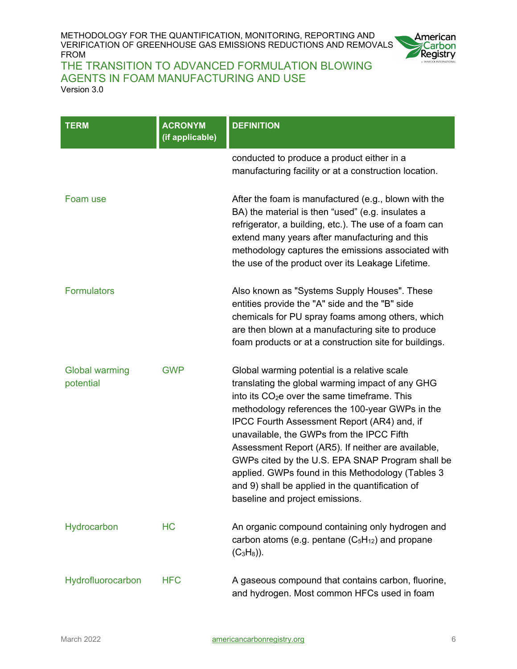

| <b>TERM</b>                        | <b>ACRONYM</b><br>(if applicable) | <b>DEFINITION</b>                                                                                                                                                                                                                                                                                                                                                                                                                                                                                                                                                 |
|------------------------------------|-----------------------------------|-------------------------------------------------------------------------------------------------------------------------------------------------------------------------------------------------------------------------------------------------------------------------------------------------------------------------------------------------------------------------------------------------------------------------------------------------------------------------------------------------------------------------------------------------------------------|
|                                    |                                   | conducted to produce a product either in a<br>manufacturing facility or at a construction location.                                                                                                                                                                                                                                                                                                                                                                                                                                                               |
| Foam use                           |                                   | After the foam is manufactured (e.g., blown with the<br>BA) the material is then "used" (e.g. insulates a<br>refrigerator, a building, etc.). The use of a foam can<br>extend many years after manufacturing and this<br>methodology captures the emissions associated with<br>the use of the product over its Leakage Lifetime.                                                                                                                                                                                                                                  |
| <b>Formulators</b>                 |                                   | Also known as "Systems Supply Houses". These<br>entities provide the "A" side and the "B" side<br>chemicals for PU spray foams among others, which<br>are then blown at a manufacturing site to produce<br>foam products or at a construction site for buildings.                                                                                                                                                                                                                                                                                                 |
| <b>Global warming</b><br>potential | <b>GWP</b>                        | Global warming potential is a relative scale<br>translating the global warming impact of any GHG<br>into its CO <sub>2</sub> e over the same timeframe. This<br>methodology references the 100-year GWPs in the<br>IPCC Fourth Assessment Report (AR4) and, if<br>unavailable, the GWPs from the IPCC Fifth<br>Assessment Report (AR5). If neither are available,<br>GWPs cited by the U.S. EPA SNAP Program shall be<br>applied. GWPs found in this Methodology (Tables 3<br>and 9) shall be applied in the quantification of<br>baseline and project emissions. |
| Hydrocarbon                        | <b>HC</b>                         | An organic compound containing only hydrogen and<br>carbon atoms (e.g. pentane $(C_5H_{12})$ and propane<br>$(C_3H_8)$ ).                                                                                                                                                                                                                                                                                                                                                                                                                                         |
| Hydrofluorocarbon                  | <b>HFC</b>                        | A gaseous compound that contains carbon, fluorine,<br>and hydrogen. Most common HFCs used in foam                                                                                                                                                                                                                                                                                                                                                                                                                                                                 |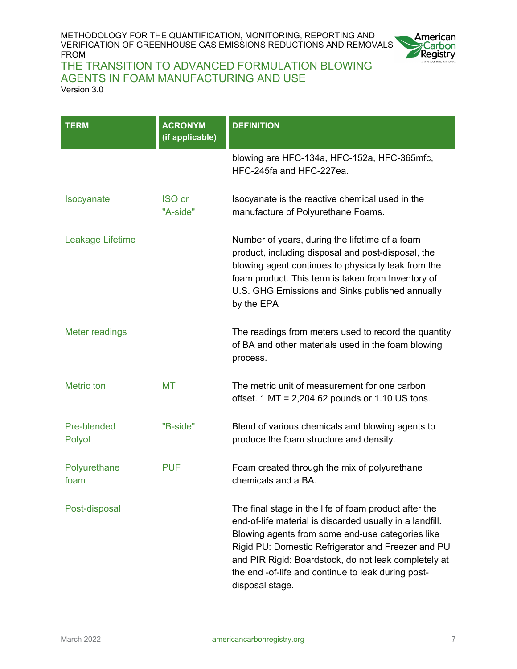

| TERM                  | <b>ACRONYM</b><br>(if applicable) | <b>DEFINITION</b>                                                                                                                                                                                                                                                                                                                                            |
|-----------------------|-----------------------------------|--------------------------------------------------------------------------------------------------------------------------------------------------------------------------------------------------------------------------------------------------------------------------------------------------------------------------------------------------------------|
|                       |                                   | blowing are HFC-134a, HFC-152a, HFC-365mfc,<br>HFC-245fa and HFC-227ea.                                                                                                                                                                                                                                                                                      |
| Isocyanate            | <b>ISO</b> or<br>"A-side"         | Isocyanate is the reactive chemical used in the<br>manufacture of Polyurethane Foams.                                                                                                                                                                                                                                                                        |
| Leakage Lifetime      |                                   | Number of years, during the lifetime of a foam<br>product, including disposal and post-disposal, the<br>blowing agent continues to physically leak from the<br>foam product. This term is taken from Inventory of<br>U.S. GHG Emissions and Sinks published annually<br>by the EPA                                                                           |
| Meter readings        |                                   | The readings from meters used to record the quantity<br>of BA and other materials used in the foam blowing<br>process.                                                                                                                                                                                                                                       |
| <b>Metric</b> ton     | МT                                | The metric unit of measurement for one carbon<br>offset. $1 \text{ MT} = 2,204.62$ pounds or 1.10 US tons.                                                                                                                                                                                                                                                   |
| Pre-blended<br>Polyol | "B-side"                          | Blend of various chemicals and blowing agents to<br>produce the foam structure and density.                                                                                                                                                                                                                                                                  |
| Polyurethane<br>foam  | <b>PUF</b>                        | Foam created through the mix of polyurethane<br>chemicals and a BA.                                                                                                                                                                                                                                                                                          |
| Post-disposal         |                                   | The final stage in the life of foam product after the<br>end-of-life material is discarded usually in a landfill.<br>Blowing agents from some end-use categories like<br>Rigid PU: Domestic Refrigerator and Freezer and PU<br>and PIR Rigid: Boardstock, do not leak completely at<br>the end -of-life and continue to leak during post-<br>disposal stage. |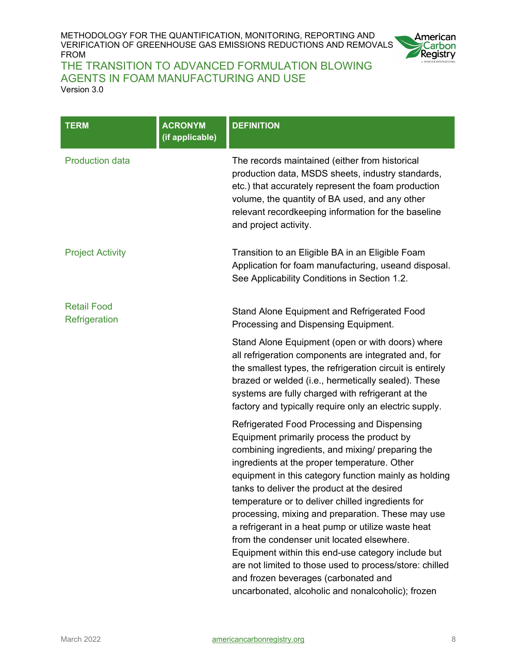

| <b>TERM</b>                         | <b>ACRONYM</b><br>(if applicable) | <b>DEFINITION</b>                                                                                                                                                                                                                                                                                                                                                                                                                                                                                                                                                                                                                                                                                                                 |
|-------------------------------------|-----------------------------------|-----------------------------------------------------------------------------------------------------------------------------------------------------------------------------------------------------------------------------------------------------------------------------------------------------------------------------------------------------------------------------------------------------------------------------------------------------------------------------------------------------------------------------------------------------------------------------------------------------------------------------------------------------------------------------------------------------------------------------------|
| <b>Production data</b>              |                                   | The records maintained (either from historical<br>production data, MSDS sheets, industry standards,<br>etc.) that accurately represent the foam production<br>volume, the quantity of BA used, and any other<br>relevant recordkeeping information for the baseline<br>and project activity.                                                                                                                                                                                                                                                                                                                                                                                                                                      |
| <b>Project Activity</b>             |                                   | Transition to an Eligible BA in an Eligible Foam<br>Application for foam manufacturing, useand disposal.<br>See Applicability Conditions in Section 1.2.                                                                                                                                                                                                                                                                                                                                                                                                                                                                                                                                                                          |
| <b>Retail Food</b><br>Refrigeration |                                   | Stand Alone Equipment and Refrigerated Food<br>Processing and Dispensing Equipment.                                                                                                                                                                                                                                                                                                                                                                                                                                                                                                                                                                                                                                               |
|                                     |                                   | Stand Alone Equipment (open or with doors) where<br>all refrigeration components are integrated and, for<br>the smallest types, the refrigeration circuit is entirely<br>brazed or welded (i.e., hermetically sealed). These<br>systems are fully charged with refrigerant at the<br>factory and typically require only an electric supply.                                                                                                                                                                                                                                                                                                                                                                                       |
|                                     |                                   | Refrigerated Food Processing and Dispensing<br>Equipment primarily process the product by<br>combining ingredients, and mixing/ preparing the<br>ingredients at the proper temperature. Other<br>equipment in this category function mainly as holding<br>tanks to deliver the product at the desired<br>temperature or to deliver chilled ingredients for<br>processing, mixing and preparation. These may use<br>a refrigerant in a heat pump or utilize waste heat<br>from the condenser unit located elsewhere.<br>Equipment within this end-use category include but<br>are not limited to those used to process/store: chilled<br>and frozen beverages (carbonated and<br>uncarbonated, alcoholic and nonalcoholic); frozen |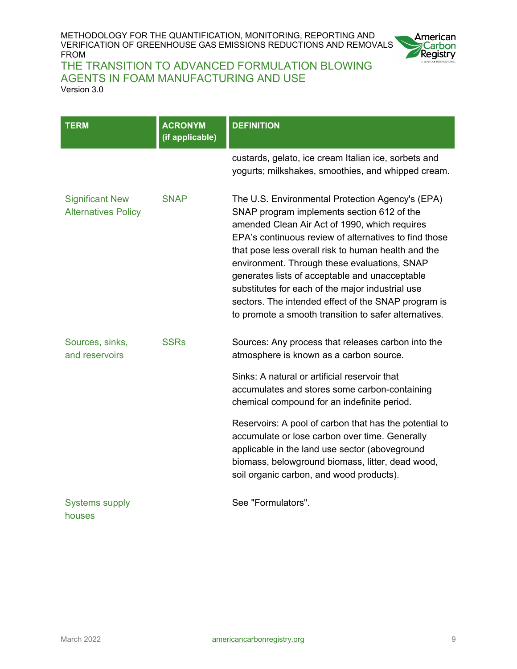

| <b>TERM</b>                                          | <b>ACRONYM</b><br>(if applicable) | <b>DEFINITION</b>                                                                                                                                                                                                                                                                                                                                                                                                                                                                                                                     |
|------------------------------------------------------|-----------------------------------|---------------------------------------------------------------------------------------------------------------------------------------------------------------------------------------------------------------------------------------------------------------------------------------------------------------------------------------------------------------------------------------------------------------------------------------------------------------------------------------------------------------------------------------|
|                                                      |                                   | custards, gelato, ice cream Italian ice, sorbets and<br>yogurts; milkshakes, smoothies, and whipped cream.                                                                                                                                                                                                                                                                                                                                                                                                                            |
| <b>Significant New</b><br><b>Alternatives Policy</b> | <b>SNAP</b>                       | The U.S. Environmental Protection Agency's (EPA)<br>SNAP program implements section 612 of the<br>amended Clean Air Act of 1990, which requires<br>EPA's continuous review of alternatives to find those<br>that pose less overall risk to human health and the<br>environment. Through these evaluations, SNAP<br>generates lists of acceptable and unacceptable<br>substitutes for each of the major industrial use<br>sectors. The intended effect of the SNAP program is<br>to promote a smooth transition to safer alternatives. |
| Sources, sinks,<br>and reservoirs                    | <b>SSRs</b>                       | Sources: Any process that releases carbon into the<br>atmosphere is known as a carbon source.                                                                                                                                                                                                                                                                                                                                                                                                                                         |
|                                                      |                                   | Sinks: A natural or artificial reservoir that<br>accumulates and stores some carbon-containing<br>chemical compound for an indefinite period.                                                                                                                                                                                                                                                                                                                                                                                         |
|                                                      |                                   | Reservoirs: A pool of carbon that has the potential to<br>accumulate or lose carbon over time. Generally<br>applicable in the land use sector (aboveground<br>biomass, belowground biomass, litter, dead wood,<br>soil organic carbon, and wood products).                                                                                                                                                                                                                                                                            |
| <b>Systems supply</b><br>houses                      |                                   | See "Formulators".                                                                                                                                                                                                                                                                                                                                                                                                                                                                                                                    |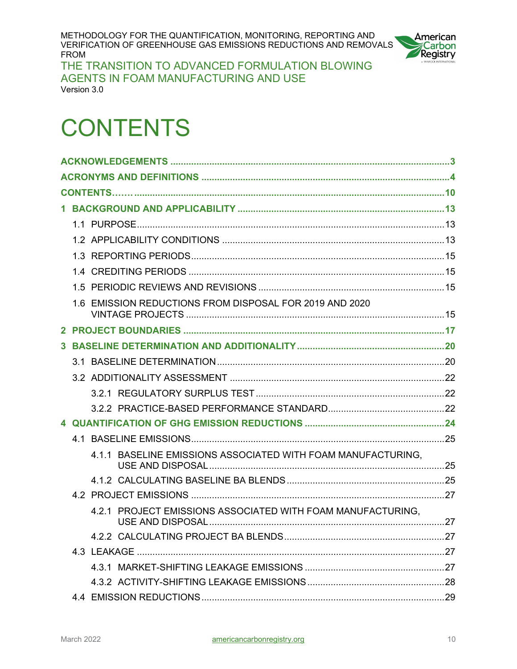

THE TRANSITION TO ADVANCED FORMULATION BLOWING AGENTS IN FOAM MANUFACTURING AND USE Version 3.0

# <span id="page-9-0"></span>**CONTENTS**

|  | 1.6 EMISSION REDUCTIONS FROM DISPOSAL FOR 2019 AND 2020      |  |
|--|--------------------------------------------------------------|--|
|  |                                                              |  |
|  |                                                              |  |
|  |                                                              |  |
|  |                                                              |  |
|  |                                                              |  |
|  |                                                              |  |
|  |                                                              |  |
|  |                                                              |  |
|  |                                                              |  |
|  | 4.1.1 BASELINE EMISSIONS ASSOCIATED WITH FOAM MANUFACTURING, |  |
|  |                                                              |  |
|  |                                                              |  |
|  | 4.2.1 PROJECT EMISSIONS ASSOCIATED WITH FOAM MANUFACTURING.  |  |
|  |                                                              |  |
|  |                                                              |  |
|  |                                                              |  |
|  |                                                              |  |
|  |                                                              |  |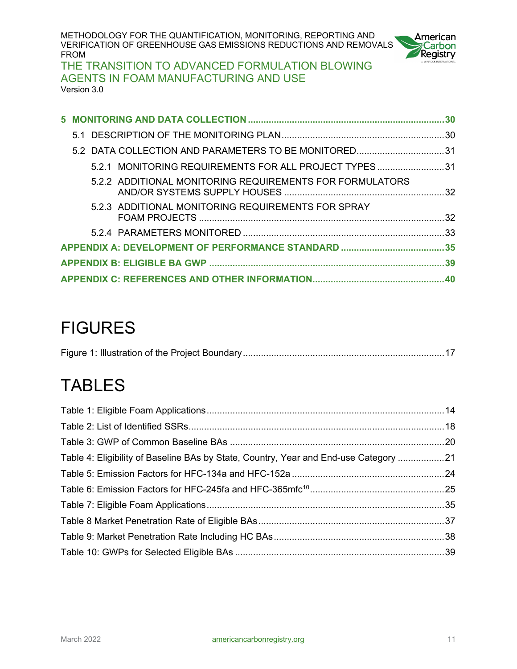

THE TRANSITION TO ADVANCED FORMULATION BLOWING AGENTS IN FOAM MANUFACTURING AND USE Version 3.0

| 5.2 DATA COLLECTION AND PARAMETERS TO BE MONITORED31     |  |
|----------------------------------------------------------|--|
| 5.2.1 MONITORING REQUIREMENTS FOR ALL PROJECT TYPES31    |  |
| 5.2.2 ADDITIONAL MONITORING REQUIREMENTS FOR FORMULATORS |  |
| 5.2.3 ADDITIONAL MONITORING REQUIREMENTS FOR SPRAY       |  |
|                                                          |  |
|                                                          |  |
|                                                          |  |
|                                                          |  |

## FIGURES

# **TABLES**

| Table 4: Eligibility of Baseline BAs by State, Country, Year and End-use Category 21 |  |
|--------------------------------------------------------------------------------------|--|
|                                                                                      |  |
|                                                                                      |  |
|                                                                                      |  |
|                                                                                      |  |
|                                                                                      |  |
|                                                                                      |  |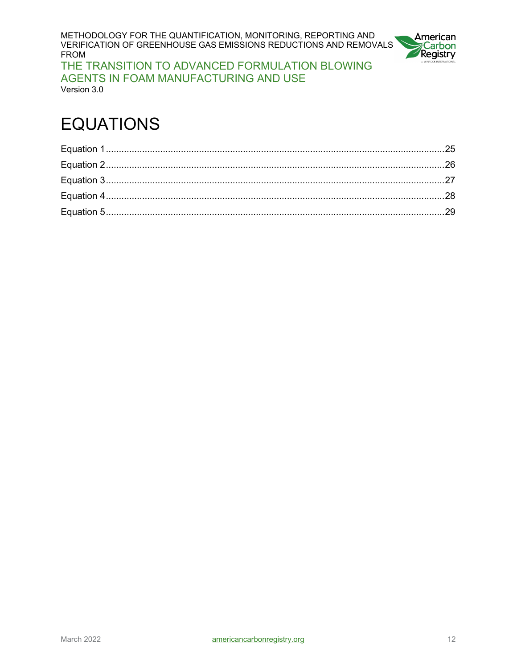METHODOLOGY FOR THE QUANTIFICATION, MONITORING, REPORTING AND VERIFICATION OF GREENHOUSE GAS EMISSIONS REDUCTIONS AND REMOVALS FROM THE TRANSITION TO ADVANCED FORMULATION BLOWING AGENTS IN FOAM MANUFACTURING AND USE



Version 3.0

# EQUATIONS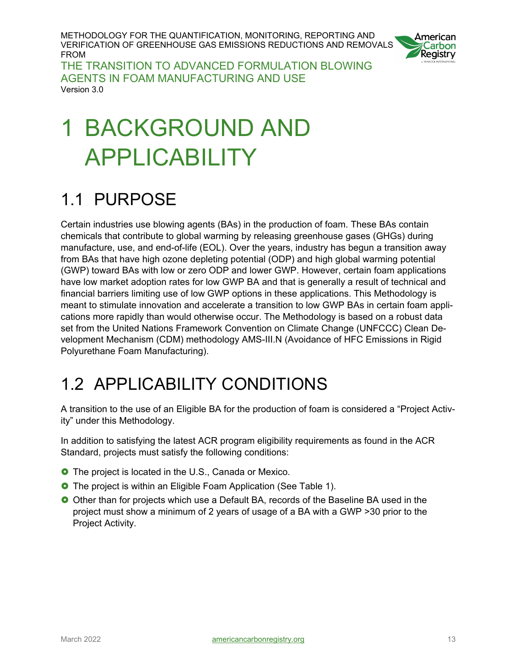

THE TRANSITION TO ADVANCED FORMULATION BLOWING AGENTS IN FOAM MANUFACTURING AND USE Version 3.0

# <span id="page-12-0"></span>1 BACKGROUND AND APPLICABILITY

## <span id="page-12-1"></span>1.1 PURPOSE

Certain industries use blowing agents (BAs) in the production of foam. These BAs contain chemicals that contribute to global warming by releasing greenhouse gases (GHGs) during manufacture, use, and end-of-life (EOL). Over the years, industry has begun a transition away from BAs that have high ozone depleting potential (ODP) and high global warming potential (GWP) toward BAs with low or zero ODP and lower GWP. However, certain foam applications have low market adoption rates for low GWP BA and that is generally a result of technical and financial barriers limiting use of low GWP options in these applications. This Methodology is meant to stimulate innovation and accelerate a transition to low GWP BAs in certain foam applications more rapidly than would otherwise occur. The Methodology is based on a robust data set from the United Nations Framework Convention on Climate Change (UNFCCC) Clean Development Mechanism (CDM) methodology AMS-III.N (Avoidance of HFC Emissions in Rigid Polyurethane Foam Manufacturing).

## <span id="page-12-2"></span>1.2 APPLICABILITY CONDITIONS

A transition to the use of an Eligible BA for the production of foam is considered a "Project Activity" under this Methodology.

In addition to satisfying the latest ACR program eligibility requirements as found in the ACR Standard, projects must satisfy the following conditions:

- **O** The project is located in the U.S., Canada or Mexico.
- **O** The project is within an Eligible Foam Application (See Table 1).
- Other than for projects which use a Default BA, records of the Baseline BA used in the project must show a minimum of 2 years of usage of a BA with a GWP >30 prior to the Project Activity.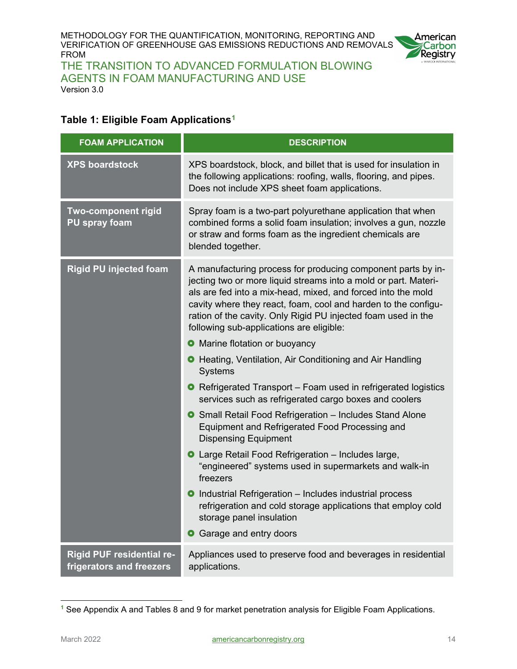

THE TRANSITION TO ADVANCED FORMULATION BLOWING AGENTS IN FOAM MANUFACTURING AND USE Version 3.0

#### <span id="page-13-0"></span>**Table 1: Eligible Foam Applications[1](#page-13-1)**

| <b>FOAM APPLICATION</b>                                      | <b>DESCRIPTION</b>                                                                                                                                                                                                                                                                                                                                                             |
|--------------------------------------------------------------|--------------------------------------------------------------------------------------------------------------------------------------------------------------------------------------------------------------------------------------------------------------------------------------------------------------------------------------------------------------------------------|
| <b>XPS boardstock</b>                                        | XPS boardstock, block, and billet that is used for insulation in<br>the following applications: roofing, walls, flooring, and pipes.<br>Does not include XPS sheet foam applications.                                                                                                                                                                                          |
| <b>Two-component rigid</b><br><b>PU spray foam</b>           | Spray foam is a two-part polyurethane application that when<br>combined forms a solid foam insulation; involves a gun, nozzle<br>or straw and forms foam as the ingredient chemicals are<br>blended together.                                                                                                                                                                  |
| <b>Rigid PU injected foam</b>                                | A manufacturing process for producing component parts by in-<br>jecting two or more liquid streams into a mold or part. Materi-<br>als are fed into a mix-head, mixed, and forced into the mold<br>cavity where they react, foam, cool and harden to the configu-<br>ration of the cavity. Only Rigid PU injected foam used in the<br>following sub-applications are eligible: |
|                                                              | • Marine flotation or buoyancy                                                                                                                                                                                                                                                                                                                                                 |
|                                                              | <b>O</b> Heating, Ventilation, Air Conditioning and Air Handling<br><b>Systems</b>                                                                                                                                                                                                                                                                                             |
|                                                              | • Refrigerated Transport – Foam used in refrigerated logistics<br>services such as refrigerated cargo boxes and coolers                                                                                                                                                                                                                                                        |
|                                                              | <b>O</b> Small Retail Food Refrigeration - Includes Stand Alone<br>Equipment and Refrigerated Food Processing and<br><b>Dispensing Equipment</b>                                                                                                                                                                                                                               |
|                                                              | <b>O</b> Large Retail Food Refrigeration – Includes large,<br>"engineered" systems used in supermarkets and walk-in<br>freezers                                                                                                                                                                                                                                                |
|                                                              | • Industrial Refrigeration – Includes industrial process<br>refrigeration and cold storage applications that employ cold<br>storage panel insulation                                                                                                                                                                                                                           |
|                                                              | Garage and entry doors<br>О                                                                                                                                                                                                                                                                                                                                                    |
| <b>Rigid PUF residential re-</b><br>frigerators and freezers | Appliances used to preserve food and beverages in residential<br>applications.                                                                                                                                                                                                                                                                                                 |

<span id="page-13-1"></span>**<sup>1</sup>** See Appendix A and Tables 8 and 9 for market penetration analysis for Eligible Foam Applications.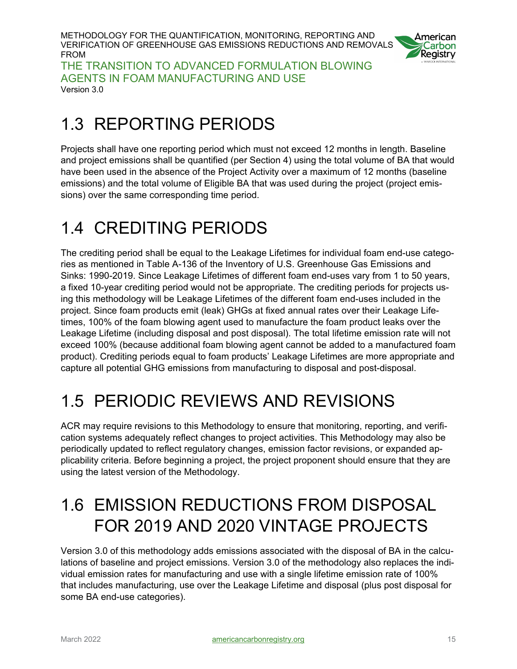

THE TRANSITION TO ADVANCED FORMULATION BLOWING AGENTS IN FOAM MANUFACTURING AND USE Version 3.0

## <span id="page-14-0"></span>1.3 REPORTING PERIODS

Projects shall have one reporting period which must not exceed 12 months in length. Baseline and project emissions shall be quantified (per Section 4) using the total volume of BA that would have been used in the absence of the Project Activity over a maximum of 12 months (baseline emissions) and the total volume of Eligible BA that was used during the project (project emissions) over the same corresponding time period.

# <span id="page-14-1"></span>1.4 CREDITING PERIODS

The crediting period shall be equal to the Leakage Lifetimes for individual foam end-use categories as mentioned in Table A-136 of the Inventory of U.S. Greenhouse Gas Emissions and Sinks: 1990-2019. Since Leakage Lifetimes of different foam end-uses vary from 1 to 50 years, a fixed 10-year crediting period would not be appropriate. The crediting periods for projects using this methodology will be Leakage Lifetimes of the different foam end-uses included in the project. Since foam products emit (leak) GHGs at fixed annual rates over their Leakage Lifetimes, 100% of the foam blowing agent used to manufacture the foam product leaks over the Leakage Lifetime (including disposal and post disposal). The total lifetime emission rate will not exceed 100% (because additional foam blowing agent cannot be added to a manufactured foam product). Crediting periods equal to foam products' Leakage Lifetimes are more appropriate and capture all potential GHG emissions from manufacturing to disposal and post-disposal.

# <span id="page-14-2"></span>1.5 PERIODIC REVIEWS AND REVISIONS

ACR may require revisions to this Methodology to ensure that monitoring, reporting, and verification systems adequately reflect changes to project activities. This Methodology may also be periodically updated to reflect regulatory changes, emission factor revisions, or expanded applicability criteria. Before beginning a project, the project proponent should ensure that they are using the latest version of the Methodology.

## <span id="page-14-3"></span>1.6 EMISSION REDUCTIONS FROM DISPOSAL FOR 2019 AND 2020 VINTAGE PROJECTS

Version 3.0 of this methodology adds emissions associated with the disposal of BA in the calculations of baseline and project emissions. Version 3.0 of the methodology also replaces the individual emission rates for manufacturing and use with a single lifetime emission rate of 100% that includes manufacturing, use over the Leakage Lifetime and disposal (plus post disposal for some BA end-use categories).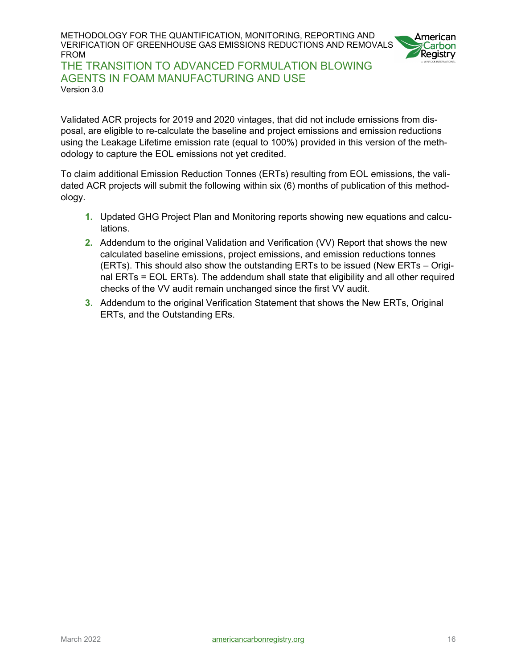

THE TRANSITION TO ADVANCED FORMULATION BLOWING AGENTS IN FOAM MANUFACTURING AND USE Version 3.0

Validated ACR projects for 2019 and 2020 vintages, that did not include emissions from disposal, are eligible to re-calculate the baseline and project emissions and emission reductions using the Leakage Lifetime emission rate (equal to 100%) provided in this version of the methodology to capture the EOL emissions not yet credited.

To claim additional Emission Reduction Tonnes (ERTs) resulting from EOL emissions, the validated ACR projects will submit the following within six (6) months of publication of this methodology.

- **1.** Updated GHG Project Plan and Monitoring reports showing new equations and calculations.
- **2.** Addendum to the original Validation and Verification (VV) Report that shows the new calculated baseline emissions, project emissions, and emission reductions tonnes (ERTs). This should also show the outstanding ERTs to be issued (New ERTs – Original ERTs = EOL ERTs). The addendum shall state that eligibility and all other required checks of the VV audit remain unchanged since the first VV audit.
- **3.** Addendum to the original Verification Statement that shows the New ERTs, Original ERTs, and the Outstanding ERs.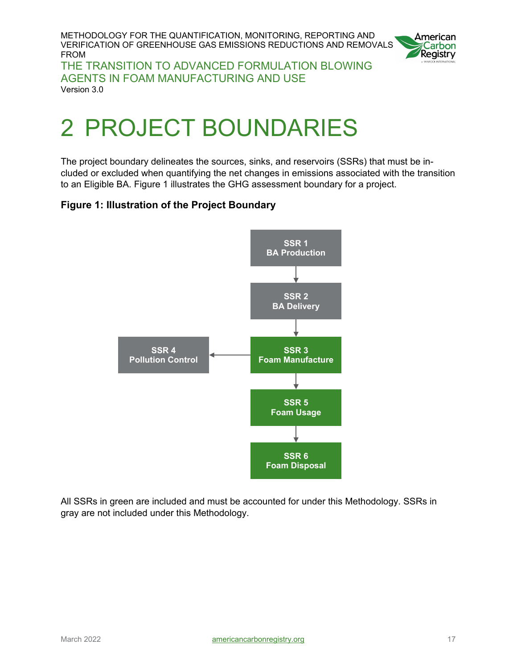

THE TRANSITION TO ADVANCED FORMULATION BLOWING AGENTS IN FOAM MANUFACTURING AND USE Version 3.0

# <span id="page-16-0"></span>2 PROJECT BOUNDARIES

The project boundary delineates the sources, sinks, and reservoirs (SSRs) that must be included or excluded when quantifying the net changes in emissions associated with the transition to an Eligible BA. Figure 1 illustrates the GHG assessment boundary for a project.

#### <span id="page-16-1"></span>**Figure 1: Illustration of the Project Boundary**



All SSRs in green are included and must be accounted for under this Methodology. SSRs in gray are not included under this Methodology.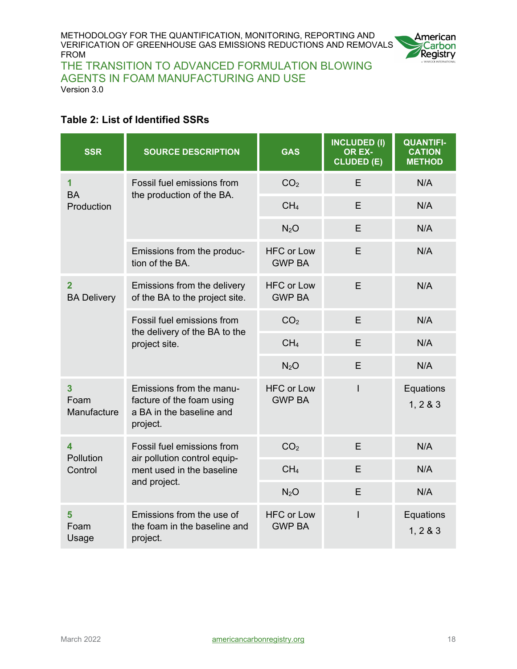

THE TRANSITION TO ADVANCED FORMULATION BLOWING AGENTS IN FOAM MANUFACTURING AND USE Version 3.0

#### <span id="page-17-0"></span>**Table 2: List of Identified SSRs**

| <b>SSR</b>                            | <b>SOURCE DESCRIPTION</b>                                                                               | <b>GAS</b>                         | <b>INCLUDED (I)</b><br>OR EX-<br>CLUDED (E) | <b>QUANTIFI-</b><br><b>CATION</b><br><b>METHOD</b> |
|---------------------------------------|---------------------------------------------------------------------------------------------------------|------------------------------------|---------------------------------------------|----------------------------------------------------|
| 1<br><b>BA</b>                        | Fossil fuel emissions from                                                                              | CO <sub>2</sub>                    | E                                           | N/A                                                |
| Production                            | the production of the BA.                                                                               | CH <sub>4</sub>                    | E                                           | N/A                                                |
|                                       |                                                                                                         | N <sub>2</sub> O                   | E                                           | N/A                                                |
|                                       | Emissions from the produc-<br>tion of the BA.                                                           | <b>HFC or Low</b><br><b>GWP BA</b> | E                                           | N/A                                                |
| $\overline{2}$<br><b>BA Delivery</b>  | Emissions from the delivery<br>of the BA to the project site.                                           | <b>HFC or Low</b><br><b>GWP BA</b> | E                                           | N/A                                                |
|                                       | Fossil fuel emissions from<br>the delivery of the BA to the<br>project site.                            | CO <sub>2</sub>                    | E                                           | N/A                                                |
|                                       |                                                                                                         | CH <sub>4</sub>                    | E                                           | N/A                                                |
|                                       |                                                                                                         | N <sub>2</sub> O                   | E                                           | N/A                                                |
| $\overline{3}$<br>Foam<br>Manufacture | Emissions from the manu-<br>facture of the foam using<br>a BA in the baseline and<br>project.           | <b>HFC or Low</b><br><b>GWP BA</b> | I                                           | Equations<br>1, 2 & 3                              |
| $\overline{\mathbf{A}}$<br>Pollution  | Fossil fuel emissions from<br>air pollution control equip-<br>ment used in the baseline<br>and project. | CO <sub>2</sub>                    | E                                           | N/A                                                |
| Control                               |                                                                                                         | CH <sub>4</sub>                    | E                                           | N/A                                                |
|                                       |                                                                                                         | N <sub>2</sub> O                   | E                                           | N/A                                                |
| 5<br>Foam<br>Usage                    | Emissions from the use of<br>the foam in the baseline and<br>project.                                   | <b>HFC or Low</b><br><b>GWP BA</b> | I                                           | Equations<br>1, 283                                |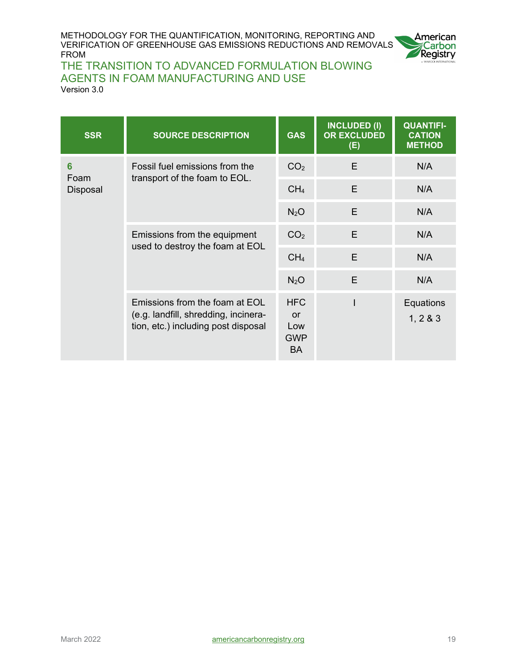

### THE TRANSITION TO ADVANCED FORMULATION BLOWING AGENTS IN FOAM MANUFACTURING AND USE

Version 3.0

| <b>SSR</b>       | <b>SOURCE DESCRIPTION</b>                                                                                     | <b>GAS</b>                                         | <b>INCLUDED (I)</b><br><b>OR EXCLUDED</b><br>(E) | <b>QUANTIFI-</b><br><b>CATION</b><br><b>METHOD</b> |
|------------------|---------------------------------------------------------------------------------------------------------------|----------------------------------------------------|--------------------------------------------------|----------------------------------------------------|
| 6                | Fossil fuel emissions from the<br>transport of the foam to EOL.                                               | CO <sub>2</sub>                                    | E                                                | N/A                                                |
| Foam<br>Disposal |                                                                                                               | CH <sub>4</sub>                                    | E                                                | N/A                                                |
|                  |                                                                                                               | N <sub>2</sub> O                                   | E                                                | N/A                                                |
|                  | Emissions from the equipment<br>used to destroy the foam at EOL                                               | CO <sub>2</sub>                                    | E                                                | N/A                                                |
|                  |                                                                                                               | CH <sub>4</sub>                                    | E                                                | N/A                                                |
|                  |                                                                                                               | N <sub>2</sub> O                                   | E                                                | N/A                                                |
|                  | Emissions from the foam at EOL<br>(e.g. landfill, shredding, incinera-<br>tion, etc.) including post disposal | <b>HFC</b><br>or<br>Low<br><b>GWP</b><br><b>BA</b> |                                                  | Equations<br>1, 283                                |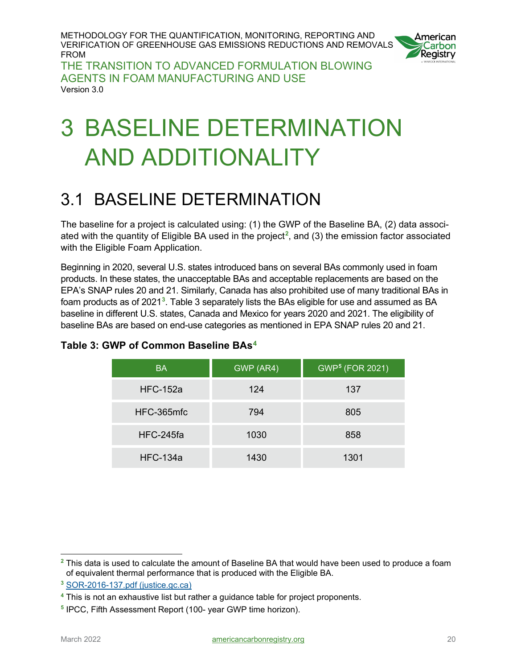

THE TRANSITION TO ADVANCED FORMULATION BLOWING AGENTS IN FOAM MANUFACTURING AND USE Version 3.0

# <span id="page-19-0"></span>3 BASELINE DETERMINATION AND ADDITIONALITY

### <span id="page-19-1"></span>3.1 BASELINE DETERMINATION

The baseline for a project is calculated using: (1) the GWP of the Baseline BA, (2) data associated with the quantity of Eligible BA used in the project**[2](#page-19-3)** , and (3) the emission factor associated with the Eligible Foam Application.

Beginning in 2020, several U.S. states introduced bans on several BAs commonly used in foam products. In these states, the unacceptable BAs and acceptable replacements are based on the EPA's SNAP rules 20 and 21. Similarly, Canada has also prohibited use of many traditional BAs in foam products as of 2021**[3](#page-19-4)** . Table 3 separately lists the BAs eligible for use and assumed as BA baseline in different U.S. states, Canada and Mexico for years 2020 and 2021. The eligibility of baseline BAs are based on end-use categories as mentioned in EPA SNAP rules 20 and 21.

| <b>BA</b>       | GWP (AR4) | GWP <sup>5</sup> (FOR 2021) |
|-----------------|-----------|-----------------------------|
| <b>HFC-152a</b> | 124       | 137                         |
| HFC-365mfc      | 794       | 805                         |
| HFC-245fa       | 1030      | 858                         |
| <b>HFC-134a</b> | 1430      | 1301                        |

#### <span id="page-19-2"></span>**Table 3: GWP of Common Baseline BAs[4](#page-19-5)**

<span id="page-19-3"></span>**<sup>2</sup>** This data is used to calculate the amount of Baseline BA that would have been used to produce a foam of equivalent thermal performance that is produced with the Eligible BA.

<span id="page-19-4"></span>**<sup>3</sup>** [SOR-2016-137.pdf \(justice.gc.ca\)](https://laws-lois.justice.gc.ca/PDF/SOR-2016-137.pdf)

<span id="page-19-5"></span>**<sup>4</sup>** This is not an exhaustive list but rather a guidance table for project proponents.

<span id="page-19-6"></span>**<sup>5</sup>** IPCC, Fifth Assessment Report (100- year GWP time horizon).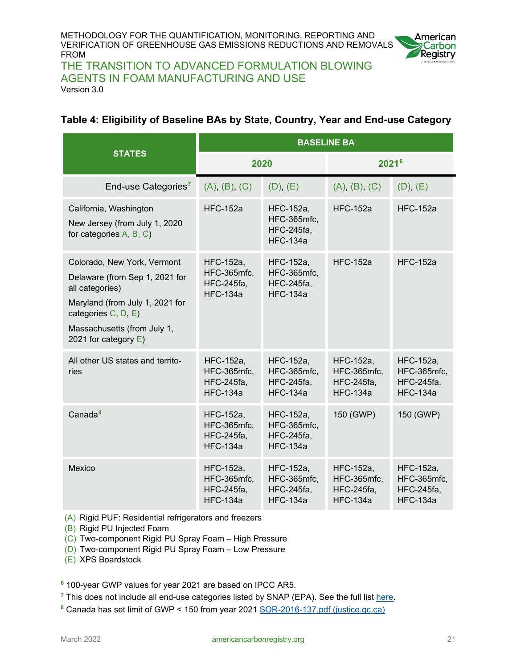

THE TRANSITION TO ADVANCED FORMULATION BLOWING AGENTS IN FOAM MANUFACTURING AND USE Version 3.0

#### <span id="page-20-0"></span>**Table 4: Eligibility of Baseline BAs by State, Country, Year and End-use Category**

|                                                                                                                                                                                                      | <b>BASELINE BA</b>                                               |                                                                  |                                                                  |                                                                  |
|------------------------------------------------------------------------------------------------------------------------------------------------------------------------------------------------------|------------------------------------------------------------------|------------------------------------------------------------------|------------------------------------------------------------------|------------------------------------------------------------------|
| <b>STATES</b>                                                                                                                                                                                        | 2020                                                             |                                                                  | 2021 <sup>6</sup>                                                |                                                                  |
| End-use Categories <sup>7</sup>                                                                                                                                                                      | (A), (B), (C)                                                    | (D), (E)                                                         | (A), (B), (C)                                                    | (D), (E)                                                         |
| California, Washington<br>New Jersey (from July 1, 2020<br>for categories A, B, C)                                                                                                                   | <b>HFC-152a</b>                                                  | HFC-152a,<br>HFC-365mfc,<br><b>HFC-245fa,</b><br><b>HFC-134a</b> | <b>HFC-152a</b>                                                  | <b>HFC-152a</b>                                                  |
| Colorado, New York, Vermont<br>Delaware (from Sep 1, 2021 for<br>all categories)<br>Maryland (from July 1, 2021 for<br>categories C, D, E)<br>Massachusetts (from July 1,<br>2021 for category $E$ ) | HFC-152a,<br>HFC-365mfc,<br><b>HFC-245fa,</b><br>$HEC-134a$      | HFC-152a,<br>HFC-365mfc,<br><b>HFC-245fa,</b><br><b>HFC-134a</b> | $HEC-152a$                                                       | <b>HFC-152a</b>                                                  |
| All other US states and territo-<br>ries                                                                                                                                                             | HFC-152a,<br>HFC-365mfc,<br><b>HFC-245fa,</b><br><b>HFC-134a</b> | HFC-152a,<br>HFC-365mfc,<br><b>HFC-245fa,</b><br><b>HFC-134a</b> | HFC-152a,<br>HFC-365mfc,<br><b>HFC-245fa,</b><br><b>HFC-134a</b> | HFC-152a,<br>HFC-365mfc,<br><b>HFC-245fa,</b><br><b>HFC-134a</b> |
| Canada <sup>8</sup>                                                                                                                                                                                  | HFC-152a,<br>HFC-365mfc,<br><b>HFC-245fa,</b><br><b>HFC-134a</b> | HFC-152a,<br>HFC-365mfc,<br><b>HFC-245fa,</b><br><b>HFC-134a</b> | 150 (GWP)                                                        | 150 (GWP)                                                        |
| Mexico                                                                                                                                                                                               | HFC-152a,<br>HFC-365mfc,<br><b>HFC-245fa,</b><br><b>HFC-134a</b> | HFC-152a,<br>HFC-365mfc,<br><b>HFC-245fa,</b><br><b>HFC-134a</b> | HFC-152a,<br>HFC-365mfc,<br><b>HFC-245fa,</b><br><b>HFC-134a</b> | HFC-152a,<br>HFC-365mfc,<br><b>HFC-245fa,</b><br><b>HFC-134a</b> |

(A) Rigid PUF: Residential refrigerators and freezers

(B) Rigid PU Injected Foam

(C) Two-component Rigid PU Spray Foam – High Pressure

(D) Two-component Rigid PU Spray Foam – Low Pressure

(E) XPS Boardstock

<span id="page-20-1"></span>**<sup>6</sup>** 100-year GWP values for year 2021 are based on IPCC AR5.

<span id="page-20-2"></span><sup>&</sup>lt;sup>7</sup> This does not include all end-use categories listed by SNAP (EPA). See the full list [here.](https://www.epa.gov/snap/substitutes-foam-blowing-agents?msclkid=4e98e532a56a11ec8f4fcbf902d0652d)

<span id="page-20-3"></span>**<sup>8</sup>** Canada has set limit of GWP < 150 from year 2021 [SOR-2016-137.pdf \(justice.gc.ca\)](https://laws-lois.justice.gc.ca/PDF/SOR-2016-137.pdf)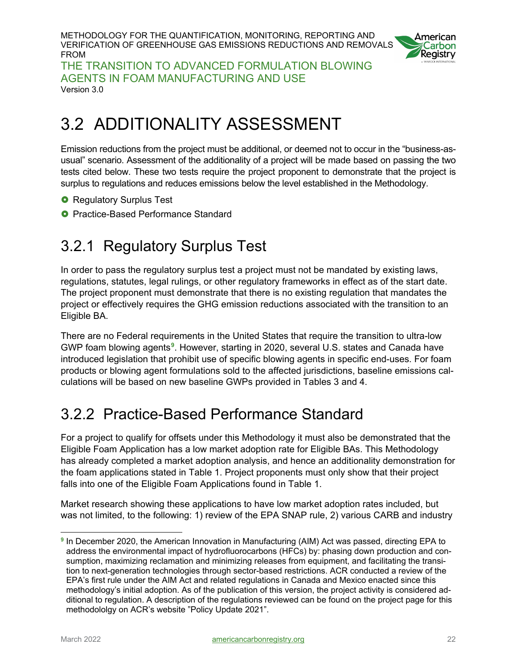

THE TRANSITION TO ADVANCED FORMULATION BLOWING AGENTS IN FOAM MANUFACTURING AND USE Version 3.0

## <span id="page-21-0"></span>3.2 ADDITIONALITY ASSESSMENT

Emission reductions from the project must be additional, or deemed not to occur in the "business-asusual" scenario. Assessment of the additionality of a project will be made based on passing the two tests cited below. These two tests require the project proponent to demonstrate that the project is surplus to regulations and reduces emissions below the level established in the Methodology.

- **O** Regulatory Surplus Test
- <span id="page-21-1"></span>**O** Practice-Based Performance Standard

### 3.2.1 Regulatory Surplus Test

In order to pass the regulatory surplus test a project must not be mandated by existing laws, regulations, statutes, legal rulings, or other regulatory frameworks in effect as of the start date. The project proponent must demonstrate that there is no existing regulation that mandates the project or effectively requires the GHG emission reductions associated with the transition to an Eligible BA.

There are no Federal requirements in the United States that require the transition to ultra-low GWP foam blowing agents**[9](#page-21-3)** . However, starting in 2020, several U.S. states and Canada have introduced legislation that prohibit use of specific blowing agents in specific end-uses. For foam products or blowing agent formulations sold to the affected jurisdictions, baseline emissions calculations will be based on new baseline GWPs provided in Tables 3 and 4.

### <span id="page-21-2"></span>3.2.2 Practice-Based Performance Standard

For a project to qualify for offsets under this Methodology it must also be demonstrated that the Eligible Foam Application has a low market adoption rate for Eligible BAs. This Methodology has already completed a market adoption analysis, and hence an additionality demonstration for the foam applications stated in Table 1. Project proponents must only show that their project falls into one of the Eligible Foam Applications found in Table 1.

Market research showing these applications to have low market adoption rates included, but was not limited, to the following: 1) review of the EPA SNAP rule, 2) various CARB and industry

<span id="page-21-3"></span>**<sup>9</sup>** In December 2020, the American Innovation in Manufacturing (AIM) Act was passed, directing EPA to address the environmental impact of hydrofluorocarbons (HFCs) by: phasing down production and consumption, maximizing reclamation and minimizing releases from equipment, and facilitating the transition to next-generation technologies through sector-based restrictions. ACR conducted a review of the EPA's first rule under the AIM Act and related regulations in Canada and Mexico enacted since this methodology's initial adoption. As of the publication of this version, the project activity is considered additional to regulation. A description of the regulations reviewed can be found on the project page for this methodololgy on ACR's website "Policy Update 2021".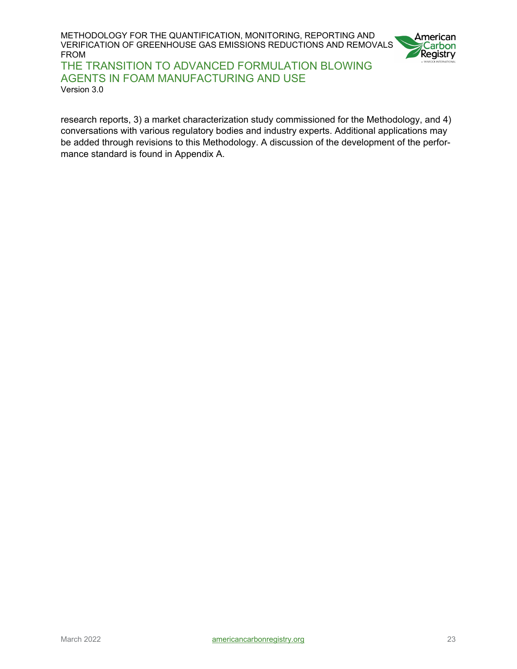



AGENTS IN FOAM MANUFACTURING AND USE Version 3.0

research reports, 3) a market characterization study commissioned for the Methodology, and 4) conversations with various regulatory bodies and industry experts. Additional applications may be added through revisions to this Methodology. A discussion of the development of the performance standard is found in Appendix A.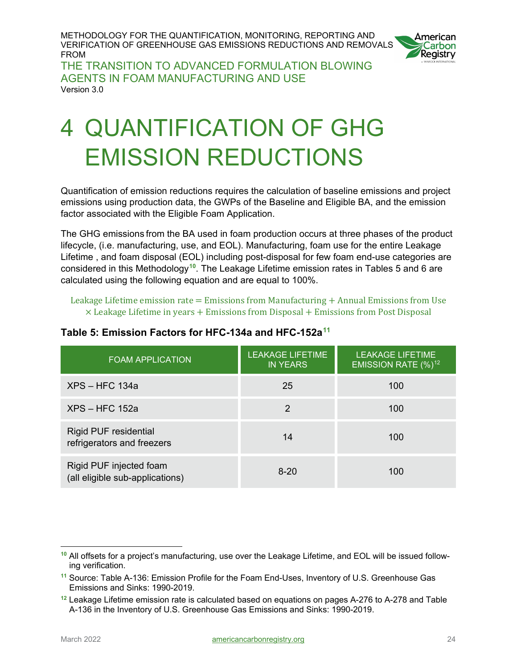

THE TRANSITION TO ADVANCED FORMULATION BLOWING AGENTS IN FOAM MANUFACTURING AND USE Version 3.0

# <span id="page-23-0"></span>4 QUANTIFICATION OF GHG EMISSION REDUCTIONS

Quantification of emission reductions requires the calculation of baseline emissions and project emissions using production data, the GWPs of the Baseline and Eligible BA, and the emission factor associated with the Eligible Foam Application.

The GHG emissions from the BA used in foam production occurs at three phases of the product lifecycle, (i.e. manufacturing, use, and EOL). Manufacturing, foam use for the entire Leakage Lifetime , and foam disposal (EOL) including post-disposal for few foam end-use categories are considered in this Methodology**[1](#page-23-2)0**. The Leakage Lifetime emission rates in Tables 5 and 6 are calculated using the following equation and are equal to 100%.

Leakage Lifetime emission rate  $=$  Emissions from Manufacturing  $+$  Annual Emissions from Use  $\times$  Leakage Lifetime in years  $+$  Emissions from Disposal  $+$  Emissions from Post Disposal

| <b>FOAM APPLICATION</b>                                    | <b>LEAKAGE LIFETIME</b><br><b>IN YEARS</b> | <b>LEAKAGE LIFETIME</b><br>EMISSION RATE $(\%)^{12}$ |
|------------------------------------------------------------|--------------------------------------------|------------------------------------------------------|
| <b>XPS - HFC 134a</b>                                      | 25                                         | 100                                                  |
| <b>XPS - HFC 152a</b>                                      | 2                                          | 100                                                  |
| <b>Rigid PUF residential</b><br>refrigerators and freezers | 14                                         | 100                                                  |
| Rigid PUF injected foam<br>(all eligible sub-applications) | $8 - 20$                                   | 100                                                  |

#### <span id="page-23-1"></span>**Table 5: Emission Factors for HFC-134a and HFC-152a[11](#page-23-3)**

<span id="page-23-2"></span> $\overline{a}$ **<sup>10</sup>** All offsets for a project's manufacturing, use over the Leakage Lifetime, and EOL will be issued following verification.

<span id="page-23-3"></span>**<sup>11</sup>** Source: Table A-136: Emission Profile for the Foam End-Uses, Inventory of U.S. Greenhouse Gas Emissions and Sinks: 1990-2019.

<span id="page-23-4"></span>**<sup>12</sup>** Leakage Lifetime emission rate is calculated based on equations on pages A-276 to A-278 and Table A-136 in the Inventory of U.S. Greenhouse Gas Emissions and Sinks: 1990-2019.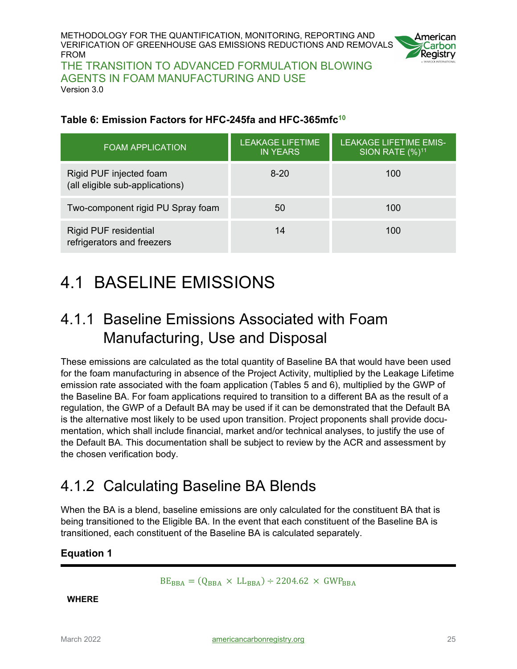

THE TRANSITION TO ADVANCED FORMULATION BLOWING AGENTS IN FOAM MANUFACTURING AND USE Version 3.0

#### <span id="page-24-3"></span>**Table 6: Emission Factors for HFC-245fa and HFC-365mfc10**

| <b>FOAM APPLICATION</b>                                    | <b>LEAKAGE LIFETIME</b><br><b>IN YEARS</b> | <b>LEAKAGE LIFETIME EMIS-</b><br>SION RATE $(\%)^{11}$ |
|------------------------------------------------------------|--------------------------------------------|--------------------------------------------------------|
| Rigid PUF injected foam<br>(all eligible sub-applications) | $8-20$                                     | 100                                                    |
| Two-component rigid PU Spray foam                          | 50                                         | 100                                                    |
| <b>Rigid PUF residential</b><br>refrigerators and freezers | 14                                         | 100                                                    |

## <span id="page-24-0"></span>4.1 BASELINE EMISSIONS

### <span id="page-24-1"></span>4.1.1 Baseline Emissions Associated with Foam Manufacturing, Use and Disposal

These emissions are calculated as the total quantity of Baseline BA that would have been used for the foam manufacturing in absence of the Project Activity, multiplied by the Leakage Lifetime emission rate associated with the foam application (Tables 5 and 6), multiplied by the GWP of the Baseline BA. For foam applications required to transition to a different BA as the result of a regulation, the GWP of a Default BA may be used if it can be demonstrated that the Default BA is the alternative most likely to be used upon transition. Project proponents shall provide documentation, which shall include financial, market and/or technical analyses, to justify the use of the Default BA. This documentation shall be subject to review by the ACR and assessment by the chosen verification body.

### <span id="page-24-2"></span>4.1.2 Calculating Baseline BA Blends

When the BA is a blend, baseline emissions are only calculated for the constituent BA that is being transitioned to the Eligible BA. In the event that each constituent of the Baseline BA is transitioned, each constituent of the Baseline BA is calculated separately.

#### <span id="page-24-4"></span>**Equation 1**

 $BE_{BBA} = (Q_{BBA} \times LL_{BBA}) \div 2204.62 \times GWP_{BBA}$ 

**WHERE**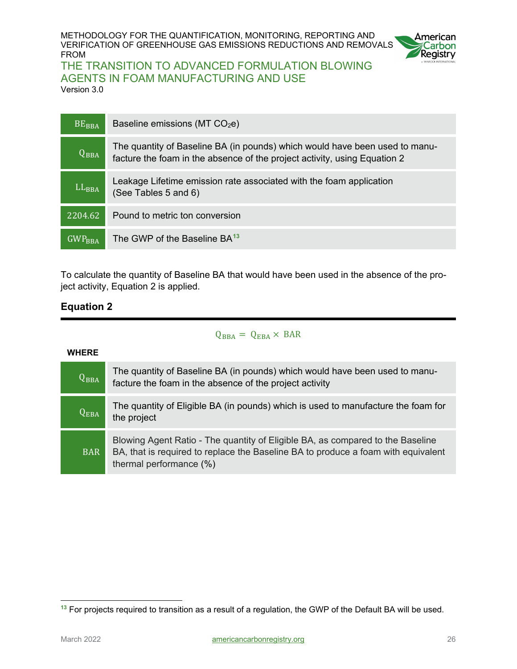

#### THE TRANSITION TO ADVANCED FORMULATION BLOWING AGENTS IN FOAM MANUFACTURING AND USE Version 3.0

 $BE<sub>BBA</sub>$  Baseline emissions (MT CO<sub>2</sub>e)  $Q_{BBA}$ The quantity of Baseline BA (in pounds) which would have been used to manufacture the foam in the absence of the project activity, using Equation 2 LL<sub>BBA</sub> Leakage Lifetime emission rate associated with the foam application (See Tables 5 and 6) 2204.62 Pound to metric ton conversion GWP<sub>BBA</sub> The GWP of the Baseline BA<sup>[13](#page-25-1)</sup>

To calculate the quantity of Baseline BA that would have been used in the absence of the project activity, Equation 2 is applied.

#### <span id="page-25-0"></span>**Equation 2**

#### $Q_{BBA} = Q_{EBA} \times BAR$

| <b>WHERE</b> |                                                                                                                                                                                                |
|--------------|------------------------------------------------------------------------------------------------------------------------------------------------------------------------------------------------|
| $Q_{BBA}$    | The quantity of Baseline BA (in pounds) which would have been used to manu-<br>facture the foam in the absence of the project activity                                                         |
| $Q_{EBA}$    | The quantity of Eligible BA (in pounds) which is used to manufacture the foam for<br>the project                                                                                               |
| <b>BAR</b>   | Blowing Agent Ratio - The quantity of Eligible BA, as compared to the Baseline<br>BA, that is required to replace the Baseline BA to produce a foam with equivalent<br>thermal performance (%) |

#### <span id="page-25-1"></span> $\overline{a}$ **<sup>13</sup>** For projects required to transition as a result of a regulation, the GWP of the Default BA will be used.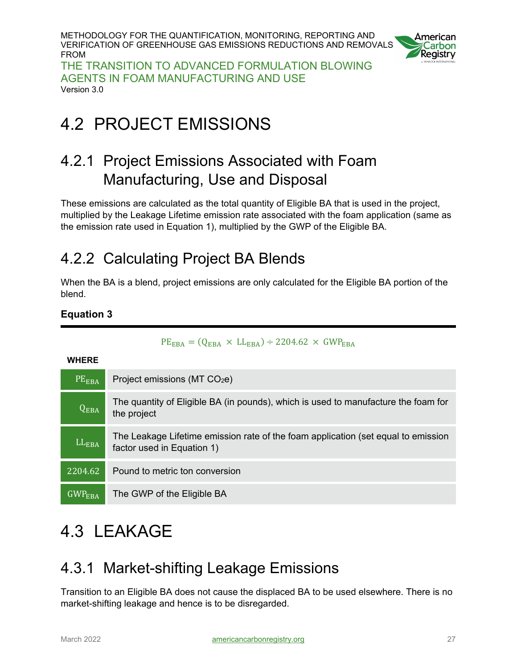

THE TRANSITION TO ADVANCED FORMULATION BLOWING AGENTS IN FOAM MANUFACTURING AND USE Version 3.0

# <span id="page-26-0"></span>4.2 PROJECT EMISSIONS

### <span id="page-26-1"></span>4.2.1 Project Emissions Associated with Foam Manufacturing, Use and Disposal

These emissions are calculated as the total quantity of Eligible BA that is used in the project, multiplied by the Leakage Lifetime emission rate associated with the foam application (same as the emission rate used in Equation 1), multiplied by the GWP of the Eligible BA.

### <span id="page-26-2"></span>4.2.2 Calculating Project BA Blends

When the BA is a blend, project emissions are only calculated for the Eligible BA portion of the blend.

#### <span id="page-26-5"></span>**Equation 3**

| <b>WHERE</b>    |                                                                                                                 |
|-----------------|-----------------------------------------------------------------------------------------------------------------|
| PEEBA           | Project emissions ( $MT CO2e$ )                                                                                 |
| $Q_{EBA}$       | The quantity of Eligible BA (in pounds), which is used to manufacture the foam for<br>the project               |
| $LL_{EBA}$      | The Leakage Lifetime emission rate of the foam application (set equal to emission<br>factor used in Equation 1) |
| 2204.62         | Pound to metric ton conversion                                                                                  |
| $GWP_{\rm EBA}$ | The GWP of the Eligible BA                                                                                      |

#### $PE_{EBA} = (Q_{EBA} \times LL_{EBA}) \div 2204.62 \times GWP_{EBA}$

# <span id="page-26-3"></span>4.3 LEAKAGE

### <span id="page-26-4"></span>4.3.1 Market-shifting Leakage Emissions

Transition to an Eligible BA does not cause the displaced BA to be used elsewhere. There is no market-shifting leakage and hence is to be disregarded.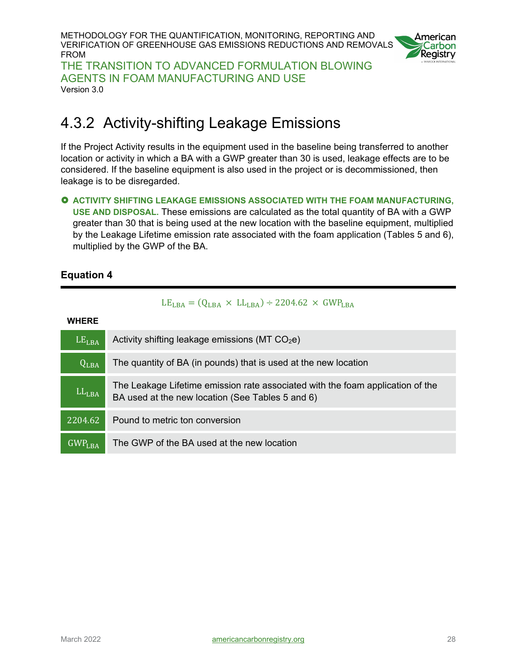METHODOLOGY FOR THE QUANTIFICATION, MONITORING, REPORTING AND VERIFICATION OF GREENHOUSE GAS EMISSIONS REDUCTIONS AND REMOVALS FROM THE TRANSITION TO ADVANCED FORMULATION BLOWING



AGENTS IN FOAM MANUFACTURING AND USE Version 3.0

### <span id="page-27-0"></span>4.3.2 Activity-shifting Leakage Emissions

If the Project Activity results in the equipment used in the baseline being transferred to another location or activity in which a BA with a GWP greater than 30 is used, leakage effects are to be considered. If the baseline equipment is also used in the project or is decommissioned, then leakage is to be disregarded.

#### **ACTIVITY SHIFTING LEAKAGE EMISSIONS ASSOCIATED WITH THE FOAM MANUFACTURING, USE AND DISPOSAL.** These emissions are calculated as the total quantity of BA with a GWP greater than 30 that is being used at the new location with the baseline equipment, multiplied by the Leakage Lifetime emission rate associated with the foam application (Tables 5 and 6), multiplied by the GWP of the BA.

#### <span id="page-27-1"></span>**Equation 4**

#### $LE<sub>LBA</sub> = (Q<sub>LBA</sub> × LL<sub>LBA</sub>) \div 2204.62 \times GWP<sub>LBA</sub>$

**WHERE**

| LE <sub>LBA</sub>  | Activity shifting leakage emissions (MT CO <sub>2</sub> e)                                                                         |
|--------------------|------------------------------------------------------------------------------------------------------------------------------------|
| $Q_{LBA}$          | The quantity of BA (in pounds) that is used at the new location                                                                    |
| $LL_{LBA}$         | The Leakage Lifetime emission rate associated with the foam application of the<br>BA used at the new location (See Tables 5 and 6) |
| 2204.62            | Pound to metric ton conversion                                                                                                     |
| GWP <sub>LBA</sub> | The GWP of the BA used at the new location                                                                                         |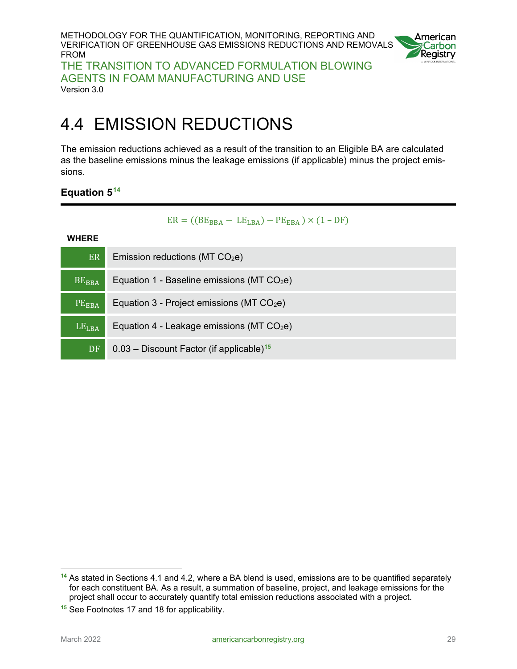

THE TRANSITION TO ADVANCED FORMULATION BLOWING AGENTS IN FOAM MANUFACTURING AND USE Version 3.0

## <span id="page-28-0"></span>4.4 EMISSION REDUCTIONS

The emission reductions achieved as a result of the transition to an Eligible BA are calculated as the baseline emissions minus the leakage emissions (if applicable) minus the project emissions.

#### <span id="page-28-1"></span>**Equation 5[14](#page-28-2)**

 $ER = ((BE<sub>BBA</sub> - LE<sub>LBA</sub>) - PE<sub>EBA</sub>) \times (1 - DF)$ 

#### **WHERE**

| $E\overline{R}$     | Emission reductions (MT $CO2e$ )                       |
|---------------------|--------------------------------------------------------|
| $BE_{BBA}$          | Equation 1 - Baseline emissions (MT $CO2e$ )           |
| PE <sub>EBA</sub>   | Equation 3 - Project emissions (MT $CO2e$ )            |
| $LE$ <sub>LBA</sub> | Equation 4 - Leakage emissions (MT $CO2e$ )            |
| DF                  | $0.03$ – Discount Factor (if applicable) <sup>15</sup> |

<span id="page-28-2"></span> $\overline{a}$ **<sup>14</sup>** As stated in Sections 4.1 and 4.2, where a BA blend is used, emissions are to be quantified separately for each constituent BA. As a result, a summation of baseline, project, and leakage emissions for the project shall occur to accurately quantify total emission reductions associated with a project.

<span id="page-28-3"></span>**<sup>15</sup>** See Footnotes 17 and 18 for applicability.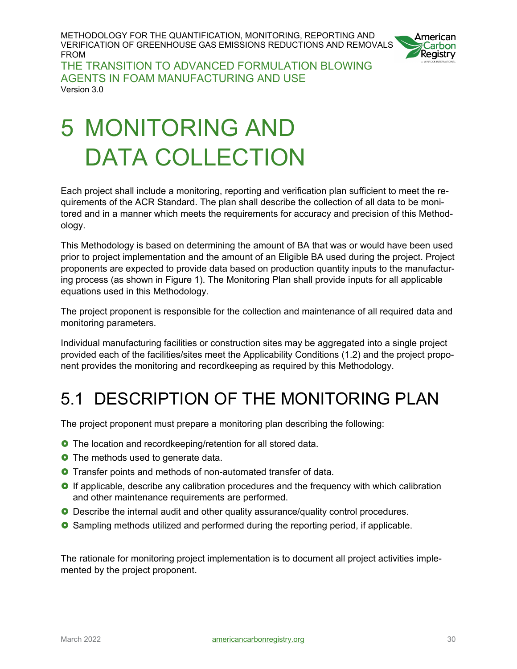

THE TRANSITION TO ADVANCED FORMULATION BLOWING AGENTS IN FOAM MANUFACTURING AND USE Version 3.0

# <span id="page-29-0"></span>5 MONITORING AND DATA COLLECTION

Each project shall include a monitoring, reporting and verification plan sufficient to meet the requirements of the ACR Standard. The plan shall describe the collection of all data to be monitored and in a manner which meets the requirements for accuracy and precision of this Methodology.

This Methodology is based on determining the amount of BA that was or would have been used prior to project implementation and the amount of an Eligible BA used during the project. Project proponents are expected to provide data based on production quantity inputs to the manufacturing process (as shown in Figure 1). The Monitoring Plan shall provide inputs for all applicable equations used in this Methodology.

The project proponent is responsible for the collection and maintenance of all required data and monitoring parameters.

Individual manufacturing facilities or construction sites may be aggregated into a single project provided each of the facilities/sites meet the Applicability Conditions (1.2) and the project proponent provides the monitoring and recordkeeping as required by this Methodology.

# <span id="page-29-1"></span>5.1 DESCRIPTION OF THE MONITORING PLAN

The project proponent must prepare a monitoring plan describing the following:

- **O** The location and recordkeeping/retention for all stored data.
- **O** The methods used to generate data.
- **O** Transfer points and methods of non-automated transfer of data.
- **O** If applicable, describe any calibration procedures and the frequency with which calibration and other maintenance requirements are performed.
- **O** Describe the internal audit and other quality assurance/quality control procedures.
- Sampling methods utilized and performed during the reporting period, if applicable.

The rationale for monitoring project implementation is to document all project activities implemented by the project proponent.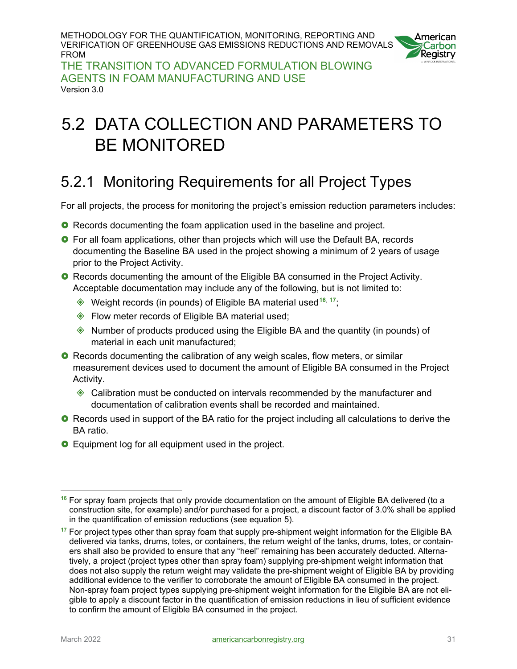

THE TRANSITION TO ADVANCED FORMULATION BLOWING AGENTS IN FOAM MANUFACTURING AND USE Version 3.0

# <span id="page-30-0"></span>5.2 DATA COLLECTION AND PARAMETERS TO BE MONITORED

### <span id="page-30-1"></span>5.2.1 Monitoring Requirements for all Project Types

For all projects, the process for monitoring the project's emission reduction parameters includes:

- **O** Records documenting the foam application used in the baseline and project.
- **O** For all foam applications, other than projects which will use the Default BA, records documenting the Baseline BA used in the project showing a minimum of 2 years of usage prior to the Project Activity.
- **O** Records documenting the amount of the Eligible BA consumed in the Project Activity. Acceptable documentation may include any of the following, but is not limited to:
	- Weight records (in pounds) of Eligible BA material used**[1](#page-30-2)6**, **[1](#page-30-3)7**;
	- ♦ Flow meter records of Eligible BA material used;
	- Number of products produced using the Eligible BA and the quantity (in pounds) of material in each unit manufactured;
- **O** Records documenting the calibration of any weigh scales, flow meters, or similar measurement devices used to document the amount of Eligible BA consumed in the Project Activity.
	- Calibration must be conducted on intervals recommended by the manufacturer and documentation of calibration events shall be recorded and maintained.
- **O** Records used in support of the BA ratio for the project including all calculations to derive the BA ratio.
- **O** Equipment log for all equipment used in the project.

<span id="page-30-2"></span> $\overline{a}$ **<sup>16</sup>** For spray foam projects that only provide documentation on the amount of Eligible BA delivered (to a construction site, for example) and/or purchased for a project, a discount factor of 3.0% shall be applied in the quantification of emission reductions (see equation 5).

<span id="page-30-3"></span>**<sup>17</sup>** For project types other than spray foam that supply pre-shipment weight information for the Eligible BA delivered via tanks, drums, totes, or containers, the return weight of the tanks, drums, totes, or containers shall also be provided to ensure that any "heel" remaining has been accurately deducted. Alternatively, a project (project types other than spray foam) supplying pre-shipment weight information that does not also supply the return weight may validate the pre-shipment weight of Eligible BA by providing additional evidence to the verifier to corroborate the amount of Eligible BA consumed in the project. Non-spray foam project types supplying pre-shipment weight information for the Eligible BA are not eligible to apply a discount factor in the quantification of emission reductions in lieu of sufficient evidence to confirm the amount of Eligible BA consumed in the project.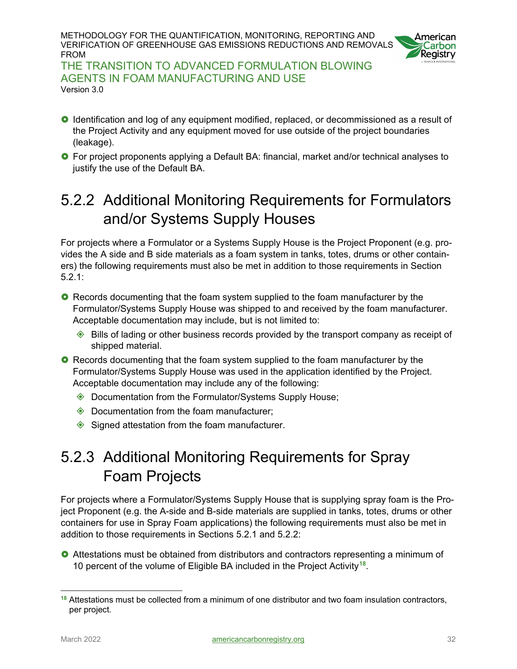

THE TRANSITION TO ADVANCED FORMULATION BLOWING AGENTS IN FOAM MANUFACTURING AND USE Version 3.0

- **O** Identification and log of any equipment modified, replaced, or decommissioned as a result of the Project Activity and any equipment moved for use outside of the project boundaries (leakage).
- **O** For project proponents applying a Default BA: financial, market and/or technical analyses to justify the use of the Default BA.

### <span id="page-31-0"></span>5.2.2 Additional Monitoring Requirements for Formulators and/or Systems Supply Houses

For projects where a Formulator or a Systems Supply House is the Project Proponent (e.g. provides the A side and B side materials as a foam system in tanks, totes, drums or other containers) the following requirements must also be met in addition to those requirements in Section 5.2.1:

- **O** Records documenting that the foam system supplied to the foam manufacturer by the Formulator/Systems Supply House was shipped to and received by the foam manufacturer. Acceptable documentation may include, but is not limited to:
	- ◆ Bills of lading or other business records provided by the transport company as receipt of shipped material.
- **O** Records documenting that the foam system supplied to the foam manufacturer by the Formulator/Systems Supply House was used in the application identified by the Project. Acceptable documentation may include any of the following:
	- ◆ Documentation from the Formulator/Systems Supply House;
	- ◆ Documentation from the foam manufacturer;
	- $\diamondsuit$  Signed attestation from the foam manufacturer.

### <span id="page-31-1"></span>5.2.3 Additional Monitoring Requirements for Spray Foam Projects

For projects where a Formulator/Systems Supply House that is supplying spray foam is the Project Proponent (e.g. the A-side and B-side materials are supplied in tanks, totes, drums or other containers for use in Spray Foam applications) the following requirements must also be met in addition to those requirements in Sections 5.2.1 and 5.2.2:

 Attestations must be obtained from distributors and contractors representing a minimum of 10 percent of the volume of Eligible BA included in the Project Activity**[18](#page-31-2)**.

<span id="page-31-2"></span> $\overline{a}$ **<sup>18</sup>** Attestations must be collected from a minimum of one distributor and two foam insulation contractors, per project.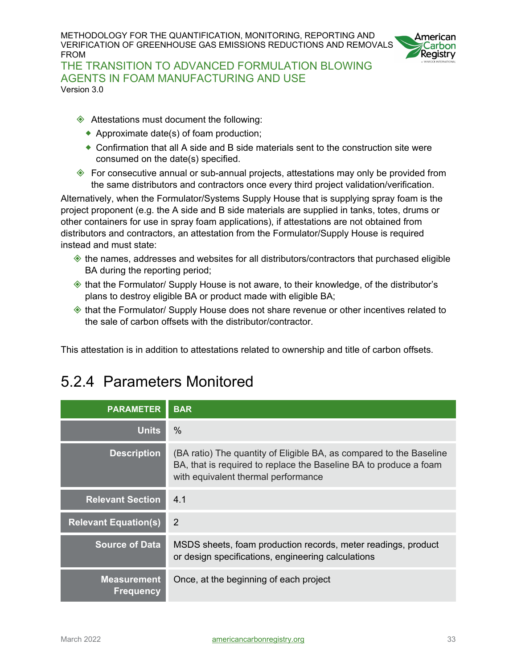

THE TRANSITION TO ADVANCED FORMULATION BLOWING AGENTS IN FOAM MANUFACTURING AND USE Version 3.0

- ◆ Attestations must document the following:
	- ◆ Approximate date(s) of foam production;
	- Confirmation that all A side and B side materials sent to the construction site were consumed on the date(s) specified.
- For consecutive annual or sub-annual projects, attestations may only be provided from the same distributors and contractors once every third project validation/verification.

Alternatively, when the Formulator/Systems Supply House that is supplying spray foam is the project proponent (e.g. the A side and B side materials are supplied in tanks, totes, drums or other containers for use in spray foam applications), if attestations are not obtained from distributors and contractors, an attestation from the Formulator/Supply House is required instead and must state:

- the names, addresses and websites for all distributors/contractors that purchased eligible BA during the reporting period;
- $\Diamond$  that the Formulator/ Supply House is not aware, to their knowledge, of the distributor's plans to destroy eligible BA or product made with eligible BA;
- $\Diamond$  that the Formulator/ Supply House does not share revenue or other incentives related to the sale of carbon offsets with the distributor/contractor.

<span id="page-32-0"></span>This attestation is in addition to attestations related to ownership and title of carbon offsets.

### 5.2.4 Parameters Monitored

| <b>PARAMETER</b>                       | <b>BAR</b>                                                                                                                                                                      |
|----------------------------------------|---------------------------------------------------------------------------------------------------------------------------------------------------------------------------------|
| <b>Units</b>                           | $\%$                                                                                                                                                                            |
| <b>Description</b>                     | (BA ratio) The quantity of Eligible BA, as compared to the Baseline<br>BA, that is required to replace the Baseline BA to produce a foam<br>with equivalent thermal performance |
| <b>Relevant Section</b>                | 4 1                                                                                                                                                                             |
| <b>Relevant Equation(s)</b>            | 2                                                                                                                                                                               |
| <b>Source of Data</b>                  | MSDS sheets, foam production records, meter readings, product<br>or design specifications, engineering calculations                                                             |
| <b>Measurement</b><br><b>Frequency</b> | Once, at the beginning of each project                                                                                                                                          |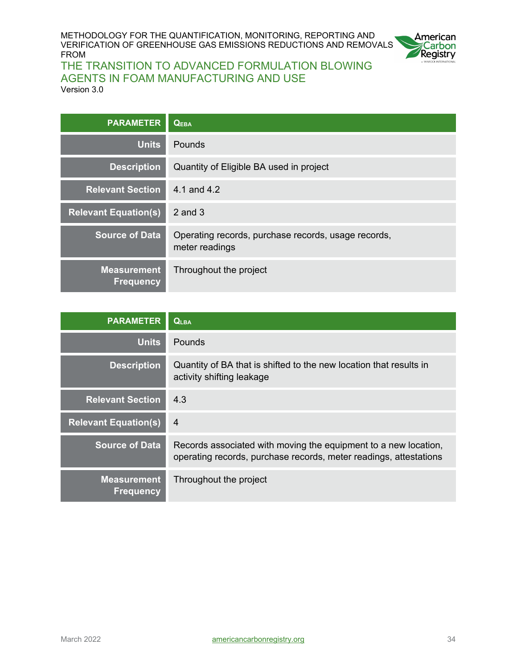

| <b>PARAMETER</b>                       | <b>QEBA</b>                                                           |
|----------------------------------------|-----------------------------------------------------------------------|
| <b>Units</b>                           | Pounds                                                                |
| <b>Description</b>                     | Quantity of Eligible BA used in project                               |
| <b>Relevant Section</b>                | 4.1 and 4.2                                                           |
| <b>Relevant Equation(s)</b>            | $2$ and $3$                                                           |
| <b>Source of Data</b>                  | Operating records, purchase records, usage records,<br>meter readings |
| <b>Measurement</b><br><b>Frequency</b> | Throughout the project                                                |

| <b>PARAMETER</b>                       | <b>QLBA</b>                                                                                                                          |
|----------------------------------------|--------------------------------------------------------------------------------------------------------------------------------------|
| <b>Units</b>                           | <b>Pounds</b>                                                                                                                        |
| <b>Description</b>                     | Quantity of BA that is shifted to the new location that results in<br>activity shifting leakage                                      |
| <b>Relevant Section</b>                | 4.3                                                                                                                                  |
| <b>Relevant Equation(s)</b>            | $\overline{4}$                                                                                                                       |
| <b>Source of Data</b>                  | Records associated with moving the equipment to a new location,<br>operating records, purchase records, meter readings, attestations |
| <b>Measurement</b><br><b>Frequency</b> | Throughout the project                                                                                                               |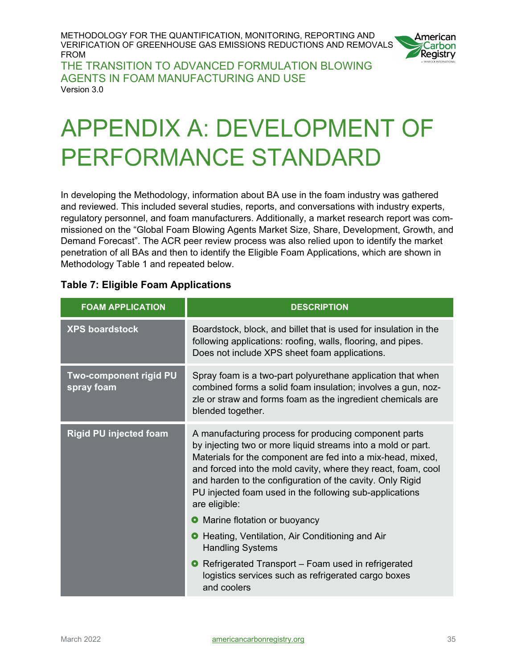

THE TRANSITION TO ADVANCED FORMULATION BLOWING AGENTS IN FOAM MANUFACTURING AND USE Version 3.0

# <span id="page-34-0"></span>**APPENDIX A: DEVELOPMENT OF PERFORMANCE STANDARD**

In developing the Methodology, information about BA use in the foam industry was gathered and reviewed. This included several studies, reports, and conversations with industry experts, regulatory personnel, and foam manufacturers. Additionally, a market research report was commissioned on the "Global Foam Blowing Agents Market Size, Share, Development, Growth, and Demand Forecast". The ACR peer review process was also relied upon to identify the market penetration of all BAs and then to identify the Eligible Foam Applications, which are shown in Methodology Table 1 and repeated below.

| <b>FOAM APPLICATION</b>              | <b>DESCRIPTION</b>                                                                                                                                                                                                                                                                                                                                                                             |  |  |
|--------------------------------------|------------------------------------------------------------------------------------------------------------------------------------------------------------------------------------------------------------------------------------------------------------------------------------------------------------------------------------------------------------------------------------------------|--|--|
| <b>XPS boardstock</b>                | Boardstock, block, and billet that is used for insulation in the<br>following applications: roofing, walls, flooring, and pipes.<br>Does not include XPS sheet foam applications.                                                                                                                                                                                                              |  |  |
| Two-component rigid PU<br>spray foam | Spray foam is a two-part polyurethane application that when<br>combined forms a solid foam insulation; involves a gun, noz-<br>zle or straw and forms foam as the ingredient chemicals are<br>blended together.                                                                                                                                                                                |  |  |
| <b>Rigid PU injected foam</b>        | A manufacturing process for producing component parts<br>by injecting two or more liquid streams into a mold or part.<br>Materials for the component are fed into a mix-head, mixed,<br>and forced into the mold cavity, where they react, foam, cool<br>and harden to the configuration of the cavity. Only Rigid<br>PU injected foam used in the following sub-applications<br>are eligible: |  |  |
|                                      | Marine flotation or buoyancy                                                                                                                                                                                                                                                                                                                                                                   |  |  |
|                                      | Heating, Ventilation, Air Conditioning and Air<br>$\bullet$<br><b>Handling Systems</b>                                                                                                                                                                                                                                                                                                         |  |  |
|                                      | Refrigerated Transport - Foam used in refrigerated<br>$\bullet$<br>logistics services such as refrigerated cargo boxes<br>and coolers                                                                                                                                                                                                                                                          |  |  |

#### <span id="page-34-1"></span>**Table 7: Eligible Foam Applications**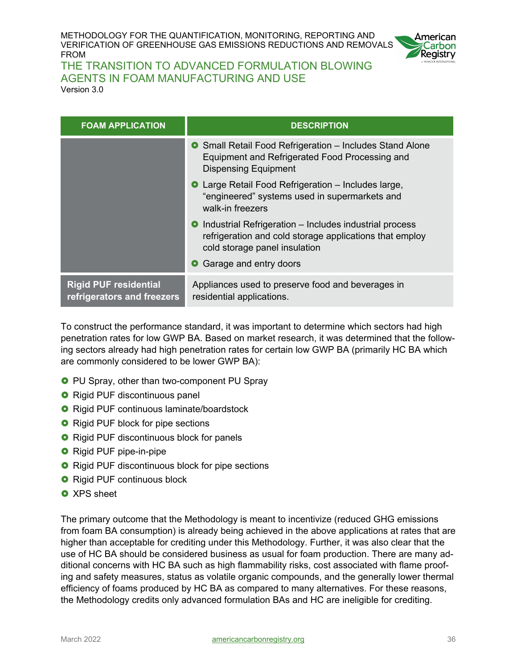

THE TRANSITION TO ADVANCED FORMULATION BLOWING AGENTS IN FOAM MANUFACTURING AND USE Version 3.0

| <b>FOAM APPLICATION</b>                                    | <b>DESCRIPTION</b>                                                                                                                                   |
|------------------------------------------------------------|------------------------------------------------------------------------------------------------------------------------------------------------------|
|                                                            | <b>O</b> Small Retail Food Refrigeration - Includes Stand Alone<br>Equipment and Refrigerated Food Processing and<br><b>Dispensing Equipment</b>     |
|                                                            | <b>O</b> Large Retail Food Refrigeration – Includes large,<br>"engineered" systems used in supermarkets and<br>walk-in freezers                      |
|                                                            | • Industrial Refrigeration – Includes industrial process<br>refrigeration and cold storage applications that employ<br>cold storage panel insulation |
|                                                            | • Garage and entry doors                                                                                                                             |
| <b>Rigid PUF residential</b><br>refrigerators and freezers | Appliances used to preserve food and beverages in<br>residential applications.                                                                       |

To construct the performance standard, it was important to determine which sectors had high penetration rates for low GWP BA. Based on market research, it was determined that the following sectors already had high penetration rates for certain low GWP BA (primarily HC BA which are commonly considered to be lower GWP BA):

- **O** PU Spray, other than two-component PU Spray
- **O** Rigid PUF discontinuous panel
- **O** Rigid PUF continuous laminate/boardstock
- **O** Rigid PUF block for pipe sections
- **O** Rigid PUF discontinuous block for panels
- **O** Rigid PUF pipe-in-pipe
- **O** Rigid PUF discontinuous block for pipe sections
- **O** Rigid PUF continuous block
- **O** XPS sheet

The primary outcome that the Methodology is meant to incentivize (reduced GHG emissions from foam BA consumption) is already being achieved in the above applications at rates that are higher than acceptable for crediting under this Methodology. Further, it was also clear that the use of HC BA should be considered business as usual for foam production. There are many additional concerns with HC BA such as high flammability risks, cost associated with flame proofing and safety measures, status as volatile organic compounds, and the generally lower thermal efficiency of foams produced by HC BA as compared to many alternatives. For these reasons, the Methodology credits only advanced formulation BAs and HC are ineligible for crediting.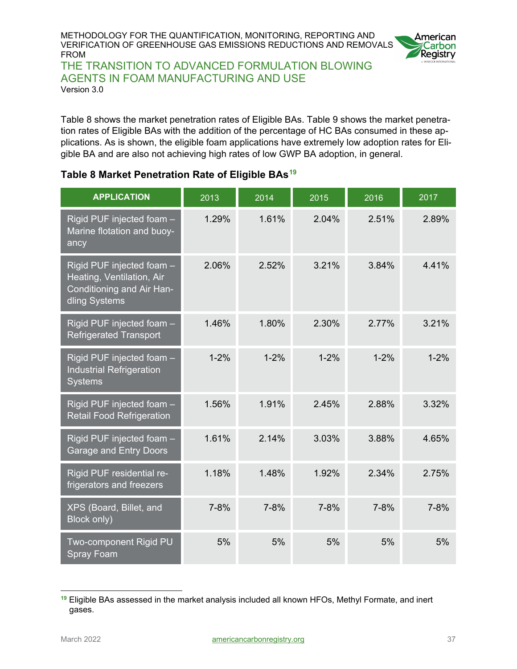

THE TRANSITION TO ADVANCED FORMULATION BLOWING AGENTS IN FOAM MANUFACTURING AND USE Version 3.0

Table 8 shows the market penetration rates of Eligible BAs. Table 9 shows the market penetration rates of Eligible BAs with the addition of the percentage of HC BAs consumed in these applications. As is shown, the eligible foam applications have extremely low adoption rates for Eligible BA and are also not achieving high rates of low GWP BA adoption, in general.

#### <span id="page-36-0"></span>**Table 8 Market Penetration Rate of Eligible BAs[19](#page-36-1)**

| <b>APPLICATION</b>                                                                                   | 2013     | 2014     | 2015     | 2016     | 2017     |
|------------------------------------------------------------------------------------------------------|----------|----------|----------|----------|----------|
| Rigid PUF injected foam -<br>Marine flotation and buoy-<br>ancy                                      | 1.29%    | 1.61%    | 2.04%    | 2.51%    | 2.89%    |
| Rigid PUF injected foam -<br>Heating, Ventilation, Air<br>Conditioning and Air Han-<br>dling Systems | 2.06%    | 2.52%    | 3.21%    | 3.84%    | 4.41%    |
| Rigid PUF injected foam -<br><b>Refrigerated Transport</b>                                           | 1.46%    | 1.80%    | 2.30%    | 2.77%    | 3.21%    |
| Rigid PUF injected foam -<br><b>Industrial Refrigeration</b><br><b>Systems</b>                       | $1 - 2%$ | $1 - 2%$ | $1 - 2%$ | $1 - 2%$ | $1 - 2%$ |
| Rigid PUF injected foam -<br><b>Retail Food Refrigeration</b>                                        | 1.56%    | 1.91%    | 2.45%    | 2.88%    | 3.32%    |
| Rigid PUF injected foam -<br><b>Garage and Entry Doors</b>                                           | 1.61%    | 2.14%    | 3.03%    | 3.88%    | 4.65%    |
| Rigid PUF residential re-<br>frigerators and freezers                                                | 1.18%    | 1.48%    | 1.92%    | 2.34%    | 2.75%    |
| XPS (Board, Billet, and<br>Block only)                                                               | $7 - 8%$ | $7 - 8%$ | $7 - 8%$ | $7 - 8%$ | 7-8%     |
| Two-component Rigid PU<br><b>Spray Foam</b>                                                          | 5%       | 5%       | 5%       | 5%       | 5%       |

<span id="page-36-1"></span>**<sup>19</sup>** Eligible BAs assessed in the market analysis included all known HFOs, Methyl Formate, and inert gases.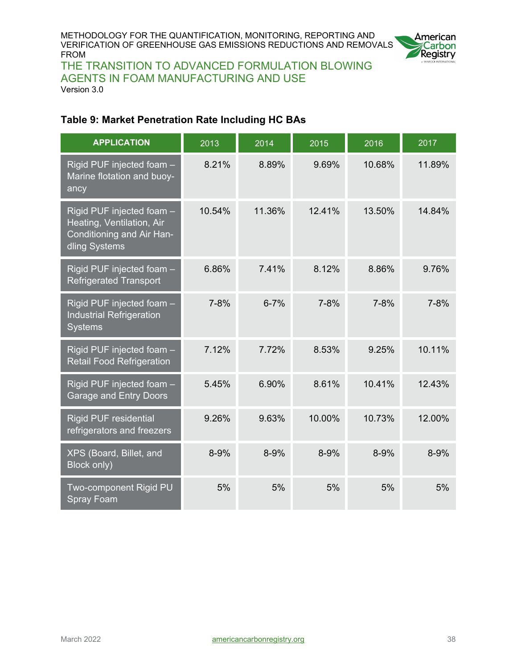

THE TRANSITION TO ADVANCED FORMULATION BLOWING AGENTS IN FOAM MANUFACTURING AND USE Version 3.0

#### <span id="page-37-0"></span>**Table 9: Market Penetration Rate Including HC BAs**

| <b>APPLICATION</b>                                                                                   | 2013     | 2014     | 2015     | 2016     | 2017     |
|------------------------------------------------------------------------------------------------------|----------|----------|----------|----------|----------|
| Rigid PUF injected foam -<br>Marine flotation and buoy-<br>ancy                                      | 8.21%    | 8.89%    | 9.69%    | 10.68%   | 11.89%   |
| Rigid PUF injected foam -<br>Heating, Ventilation, Air<br>Conditioning and Air Han-<br>dling Systems | 10.54%   | 11.36%   | 12.41%   | 13.50%   | 14.84%   |
| Rigid PUF injected foam -<br><b>Refrigerated Transport</b>                                           | 6.86%    | 7.41%    | 8.12%    | 8.86%    | 9.76%    |
| Rigid PUF injected foam -<br><b>Industrial Refrigeration</b><br><b>Systems</b>                       | $7 - 8%$ | $6 - 7%$ | $7 - 8%$ | $7 - 8%$ | $7 - 8%$ |
| Rigid PUF injected foam -<br><b>Retail Food Refrigeration</b>                                        | 7.12%    | 7.72%    | 8.53%    | 9.25%    | 10.11%   |
| Rigid PUF injected foam -<br>Garage and Entry Doors                                                  | 5.45%    | 6.90%    | 8.61%    | 10.41%   | 12.43%   |
| <b>Rigid PUF residential</b><br>refrigerators and freezers                                           | 9.26%    | 9.63%    | 10.00%   | 10.73%   | 12.00%   |
| XPS (Board, Billet, and<br>Block only)                                                               | 8-9%     | 8-9%     | 8-9%     | 8-9%     | 8-9%     |
| Two-component Rigid PU<br><b>Spray Foam</b>                                                          | 5%       | 5%       | 5%       | 5%       | 5%       |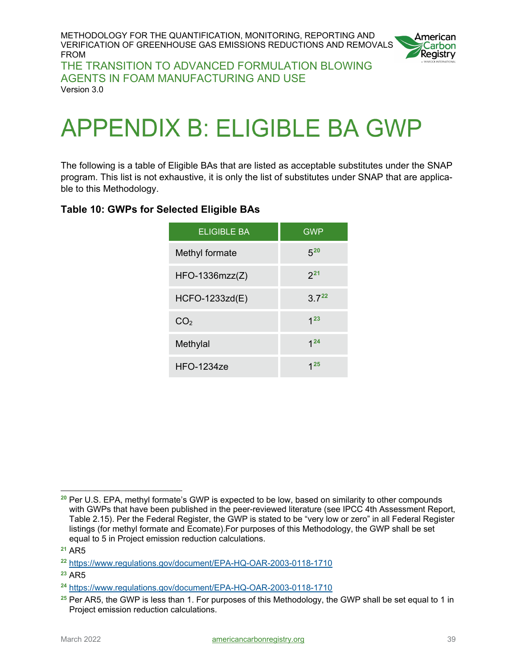

THE TRANSITION TO ADVANCED FORMULATION BLOWING AGENTS IN FOAM MANUFACTURING AND USE Version 3.0

# <span id="page-38-0"></span>**APPENDIX B: ELIGIBLE BA GWP**

The following is a table of Eligible BAs that are listed as acceptable substitutes under the SNAP program. This list is not exhaustive, it is only the list of substitutes under SNAP that are applicable to this Methodology.

#### <span id="page-38-1"></span>**Table 10: GWPs for Selected Eligible BAs**

| <b>ELIGIBLE BA</b> | <b>GWP</b> |
|--------------------|------------|
| Methyl formate     | $5^{20}$   |
| $HFO-1336mzz(Z)$   | $2^{21}$   |
| HCFO-1233zd(E)     | 3722       |
| CO <sub>2</sub>    | $1^{23}$   |
| Methylal           | $1^{24}$   |
| $HFO-1234ze$       | 1 25       |

<span id="page-38-2"></span> $\overline{a}$ **<sup>20</sup>** Per U.S. EPA, methyl formate's GWP is expected to be low, based on similarity to other compounds with GWPs that have been published in the peer-reviewed literature (see IPCC 4th Assessment Report, Table 2.15). Per the Federal Register, the GWP is stated to be "very low or zero" in all Federal Register listings (for methyl formate and Ecomate).For purposes of this Methodology, the GWP shall be set equal to 5 in Project emission reduction calculations.

<span id="page-38-3"></span>**<sup>21</sup>** AR5

<span id="page-38-4"></span>**<sup>22</sup>** <https://www.regulations.gov/document/EPA-HQ-OAR-2003-0118-1710>

<span id="page-38-5"></span>**<sup>23</sup>** AR5

<span id="page-38-6"></span>**<sup>24</sup>** <https://www.regulations.gov/document/EPA-HQ-OAR-2003-0118-1710>

<span id="page-38-7"></span>**<sup>25</sup>** Per AR5, the GWP is less than 1. For purposes of this Methodology, the GWP shall be set equal to 1 in Project emission reduction calculations.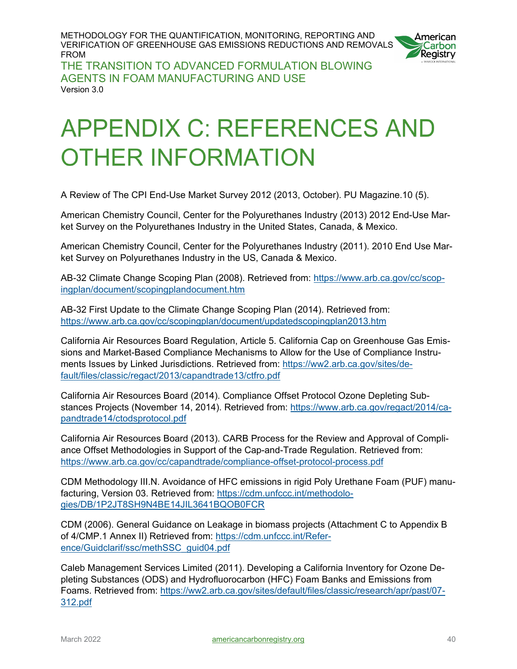

THE TRANSITION TO ADVANCED FORMULATION BLOWING AGENTS IN FOAM MANUFACTURING AND USE Version 3.0

# <span id="page-39-0"></span>**APPENDIX C: REFERENCES AND OTHER INFORMATION**

A Review of The CPI End-Use Market Survey 2012 (2013, October). PU Magazine.10 (5).

American Chemistry Council, Center for the Polyurethanes Industry (2013) 2012 End-Use Market Survey on the Polyurethanes Industry in the United States, Canada, & Mexico.

American Chemistry Council, Center for the Polyurethanes Industry (2011). 2010 End Use Market Survey on Polyurethanes Industry in the US, Canada & Mexico.

AB-32 Climate Change Scoping Plan (2008). Retrieved from: [https://www.arb.ca.gov/cc/scop](https://www.arb.ca.gov/cc/scopingplan/document/scopingplandocument.htm)[ingplan/document/scopingplandocument.htm](https://www.arb.ca.gov/cc/scopingplan/document/scopingplandocument.htm)

AB-32 First Update to the Climate Change Scoping Plan (2014). Retrieved from: <https://www.arb.ca.gov/cc/scopingplan/document/updatedscopingplan2013.htm>

California Air Resources Board Regulation, Article 5. California Cap on Greenhouse Gas Emissions and Market-Based Compliance Mechanisms to Allow for the Use of Compliance Instruments Issues by Linked Jurisdictions. Retrieved from: [https://ww2.arb.ca.gov/sites/de](https://ww2.arb.ca.gov/sites/default/files/classic/regact/2013/capandtrade13/ctfro.pdf)[fault/files/classic/regact/2013/capandtrade13/ctfro.pdf](https://ww2.arb.ca.gov/sites/default/files/classic/regact/2013/capandtrade13/ctfro.pdf) 

California Air Resources Board (2014). Compliance Offset Protocol Ozone Depleting Substances Projects (November 14, 2014). Retrieved from: [https://www.arb.ca.gov/regact/2014/ca](https://www.arb.ca.gov/regact/2014/capandtrade14/ctodsprotocol.pdf)[pandtrade14/ctodsprotocol.pdf](https://www.arb.ca.gov/regact/2014/capandtrade14/ctodsprotocol.pdf)

California Air Resources Board (2013). CARB Process for the Review and Approval of Compliance Offset Methodologies in Support of the Cap-and-Trade Regulation. Retrieved from: <https://www.arb.ca.gov/cc/capandtrade/compliance-offset-protocol-process.pdf>

CDM Methodology III.N. Avoidance of HFC emissions in rigid Poly Urethane Foam (PUF) manufacturing, Version 03. Retrieved from: [https://cdm.unfccc.int/methodolo](https://cdm.unfccc.int/methodologies/DB/1P2JT8SH9N4BE14JIL3641BQOB0FCR)[gies/DB/1P2JT8SH9N4BE14JIL3641BQOB0FCR](https://cdm.unfccc.int/methodologies/DB/1P2JT8SH9N4BE14JIL3641BQOB0FCR)

CDM (2006). General Guidance on Leakage in biomass projects (Attachment C to Appendix B of 4/CMP.1 Annex II) Retrieved from: [https://cdm.unfccc.int/Refer](https://cdm.unfccc.int/Reference/Guidclarif/ssc/methSSC_guid04.pdf)[ence/Guidclarif/ssc/methSSC\\_guid04.pdf](https://cdm.unfccc.int/Reference/Guidclarif/ssc/methSSC_guid04.pdf)

Caleb Management Services Limited (2011). Developing a California Inventory for Ozone Depleting Substances (ODS) and Hydrofluorocarbon (HFC) Foam Banks and Emissions from Foams. Retrieved from: [https://ww2.arb.ca.gov/sites/default/files/classic/research/apr/past/07-](https://ww2.arb.ca.gov/sites/default/files/classic/research/apr/past/07-312.pdf) [312.pdf](https://ww2.arb.ca.gov/sites/default/files/classic/research/apr/past/07-312.pdf)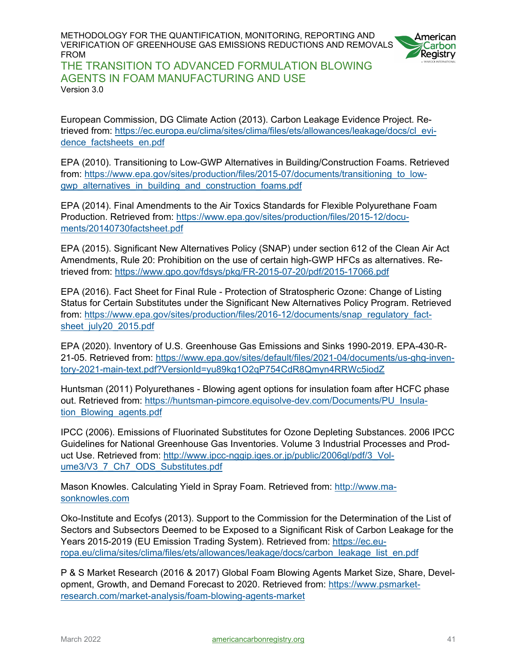

THE TRANSITION TO ADVANCED FORMULATION BLOWING AGENTS IN FOAM MANUFACTURING AND USE Version 3.0

European Commission, DG Climate Action (2013). Carbon Leakage Evidence Project. Retrieved from: [https://ec.europa.eu/clima/sites/clima/files/ets/allowances/leakage/docs/cl\\_evi](https://ec.europa.eu/clima/sites/clima/files/ets/allowances/leakage/docs/cl_evidence_factsheets_en.pdf)dence factsheets en.pdf

EPA (2010). Transitioning to Low-GWP Alternatives in Building/Construction Foams. Retrieved from: https://www.epa.gov/sites/production/files/2015-07/documents/transitioning to low[gwp\\_alternatives\\_in\\_building\\_and\\_construction\\_foams.pdf](https://www.epa.gov/sites/production/files/2015-07/documents/transitioning_to_low-gwp_alternatives_in_building_and_construction_foams.pdf)

EPA (2014). Final Amendments to the Air Toxics Standards for Flexible Polyurethane Foam Production. Retrieved from: [https://www.epa.gov/sites/production/files/2015-12/docu](https://www.epa.gov/sites/production/files/2015-12/documents/20140730factsheet.pdf)[ments/20140730factsheet.pdf](https://www.epa.gov/sites/production/files/2015-12/documents/20140730factsheet.pdf)

EPA (2015). Significant New Alternatives Policy (SNAP) under section 612 of the Clean Air Act Amendments, Rule 20: Prohibition on the use of certain high-GWP HFCs as alternatives. Retrieved from:<https://www.gpo.gov/fdsys/pkg/FR-2015-07-20/pdf/2015-17066.pdf>

EPA (2016). Fact Sheet for Final Rule - Protection of Stratospheric Ozone: Change of Listing Status for Certain Substitutes under the Significant New Alternatives Policy Program. Retrieved from: [https://www.epa.gov/sites/production/files/2016-12/documents/snap\\_regulatory\\_fact](https://www.epa.gov/sites/production/files/2016-12/documents/snap_regulatory_factsheet_july20_2015.pdf)[sheet\\_july20\\_2015.pdf](https://www.epa.gov/sites/production/files/2016-12/documents/snap_regulatory_factsheet_july20_2015.pdf)

EPA (2020). Inventory of U.S. Greenhouse Gas Emissions and Sinks 1990-2019. EPA-430-R-21-05. Retrieved from: [https://www.epa.gov/sites/default/files/2021-04/documents/us-ghg-inven](https://www.epa.gov/sites/default/files/2021-04/documents/us-ghg-inventory-2021-main-text.pdf?VersionId=yu89kg1O2qP754CdR8Qmyn4RRWc5iodZ)[tory-2021-main-text.pdf?VersionId=yu89kg1O2qP754CdR8Qmyn4RRWc5iodZ](https://www.epa.gov/sites/default/files/2021-04/documents/us-ghg-inventory-2021-main-text.pdf?VersionId=yu89kg1O2qP754CdR8Qmyn4RRWc5iodZ) 

Huntsman (2011) Polyurethanes - Blowing agent options for insulation foam after HCFC phase out. Retrieved from: [https://huntsman-pimcore.equisolve-dev.com/Documents/PU\\_Insula](https://huntsman-pimcore.equisolve-dev.com/Documents/PU_Insulation_Blowing_agents.pdf)[tion\\_Blowing\\_agents.pdf](https://huntsman-pimcore.equisolve-dev.com/Documents/PU_Insulation_Blowing_agents.pdf) 

IPCC (2006). Emissions of Fluorinated Substitutes for Ozone Depleting Substances. 2006 IPCC Guidelines for National Greenhouse Gas Inventories. Volume 3 Industrial Processes and Product Use. Retrieved from: [http://www.ipcc-nggip.iges.or.jp/public/2006gl/pdf/3\\_Vol](http://www.ipcc-nggip.iges.or.jp/public/2006gl/pdf/3_Volume3/V3_7_Ch7_ODS_Substitutes.pdf)[ume3/V3\\_7\\_Ch7\\_ODS\\_Substitutes.pdf](http://www.ipcc-nggip.iges.or.jp/public/2006gl/pdf/3_Volume3/V3_7_Ch7_ODS_Substitutes.pdf)

Mason Knowles. Calculating Yield in Spray Foam. Retrieved from: [http://www.ma](http://www.masonknowles.com/docs/calculating_yield_in_sprayfoam.pdf)[sonknowles.com](http://www.masonknowles.com/docs/calculating_yield_in_sprayfoam.pdf)

Oko-Institute and Ecofys (2013). Support to the Commission for the Determination of the List of Sectors and Subsectors Deemed to be Exposed to a Significant Risk of Carbon Leakage for the Years 2015-2019 (EU Emission Trading System). Retrieved from: [https://ec.eu](https://ec.europa.eu/clima/sites/clima/files/ets/allowances/leakage/docs/carbon_leakage_list_en.pdf)[ropa.eu/clima/sites/clima/files/ets/allowances/leakage/docs/carbon\\_leakage\\_list\\_en.pdf](https://ec.europa.eu/clima/sites/clima/files/ets/allowances/leakage/docs/carbon_leakage_list_en.pdf)

P & S Market Research (2016 & 2017) Global Foam Blowing Agents Market Size, Share, Development, Growth, and Demand Forecast to 2020. Retrieved from: [https://www.psmarket](https://www.psmarketresearch.com/market-analysis/foam-blowing-agents-market)[research.com/market-analysis/foam-blowing-agents-market](https://www.psmarketresearch.com/market-analysis/foam-blowing-agents-market)